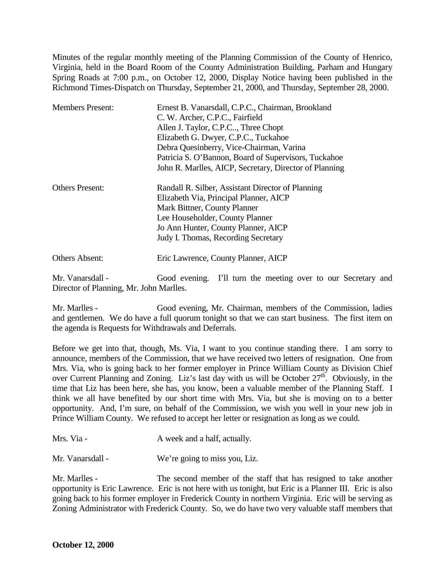Minutes of the regular monthly meeting of the Planning Commission of the County of Henrico, Virginia, held in the Board Room of the County Administration Building, Parham and Hungary Spring Roads at 7:00 p.m., on October 12, 2000, Display Notice having been published in the Richmond Times-Dispatch on Thursday, September 21, 2000, and Thursday, September 28, 2000.

| <b>Members Present:</b> | Ernest B. Vanarsdall, C.P.C., Chairman, Brookland      |
|-------------------------|--------------------------------------------------------|
|                         | C. W. Archer, C.P.C., Fairfield                        |
|                         | Allen J. Taylor, C.P.C, Three Chopt                    |
|                         | Elizabeth G. Dwyer, C.P.C., Tuckahoe                   |
|                         | Debra Quesinberry, Vice-Chairman, Varina               |
|                         | Patricia S. O'Bannon, Board of Supervisors, Tuckahoe   |
|                         | John R. Marlles, AICP, Secretary, Director of Planning |
| <b>Others Present:</b>  | Randall R. Silber, Assistant Director of Planning      |
|                         | Elizabeth Via, Principal Planner, AICP                 |
|                         | Mark Bittner, County Planner                           |
|                         | Lee Householder, County Planner                        |
|                         | Jo Ann Hunter, County Planner, AICP                    |
|                         | Judy I. Thomas, Recording Secretary                    |
| <b>Others Absent:</b>   | Eric Lawrence, County Planner, AICP                    |

Mr. Vanarsdall - Good evening. I'll turn the meeting over to our Secretary and Director of Planning, Mr. John Marlles.

Mr. Marlles - Good evening, Mr. Chairman, members of the Commission, ladies and gentlemen. We do have a full quorum tonight so that we can start business. The first item on the agenda is Requests for Withdrawals and Deferrals.

Before we get into that, though, Ms. Via, I want to you continue standing there. I am sorry to announce, members of the Commission, that we have received two letters of resignation. One from Mrs. Via, who is going back to her former employer in Prince William County as Division Chief over Current Planning and Zoning. Liz's last day with us will be October 27<sup>th</sup>. Obviously, in the time that Liz has been here, she has, you know, been a valuable member of the Planning Staff. I think we all have benefited by our short time with Mrs. Via, but she is moving on to a better opportunity. And, I'm sure, on behalf of the Commission, we wish you well in your new job in Prince William County. We refused to accept her letter or resignation as long as we could.

Mr. Vanarsdall - We're going to miss you, Liz.

Mr. Marlles - The second member of the staff that has resigned to take another opportunity is Eric Lawrence. Eric is not here with us tonight, but Eric is a Planner III. Eric is also going back to his former employer in Frederick County in northern Virginia. Eric will be serving as Zoning Administrator with Frederick County. So, we do have two very valuable staff members that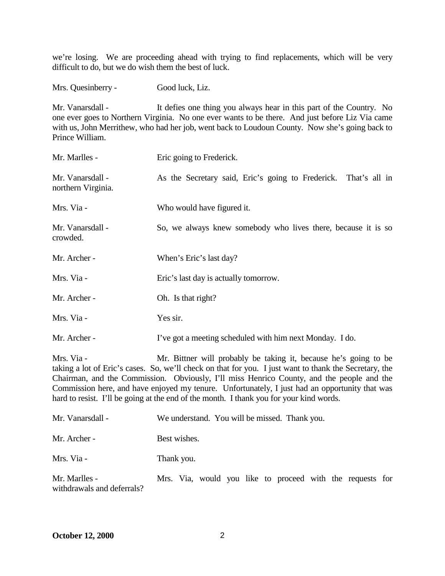we're losing. We are proceeding ahead with trying to find replacements, which will be very difficult to do, but we do wish them the best of luck.

Mrs. Quesinberry - Good luck, Liz.

Mr. Vanarsdall - It defies one thing you always hear in this part of the Country. No one ever goes to Northern Virginia. No one ever wants to be there. And just before Liz Via came with us, John Merrithew, who had her job, went back to Loudoun County. Now she's going back to Prince William.

| Mr. Marlles -                          | Eric going to Frederick.                                        |
|----------------------------------------|-----------------------------------------------------------------|
| Mr. Vanarsdall -<br>northern Virginia. | As the Secretary said, Eric's going to Frederick. That's all in |
| Mrs. Via -                             | Who would have figured it.                                      |
| Mr. Vanarsdall -<br>crowded.           | So, we always knew somebody who lives there, because it is so   |
| Mr. Archer -                           | When's Eric's last day?                                         |
| Mrs. Via -                             | Eric's last day is actually tomorrow.                           |
| Mr. Archer -                           | Oh. Is that right?                                              |
| Mrs. Via -                             | Yes sir.                                                        |
| Mr. Archer -                           | I've got a meeting scheduled with him next Monday. I do.        |

Mrs. Via - Mr. Bittner will probably be taking it, because he's going to be taking a lot of Eric's cases. So, we'll check on that for you. I just want to thank the Secretary, the Chairman, and the Commission. Obviously, I'll miss Henrico County, and the people and the Commission here, and have enjoyed my tenure. Unfortunately, I just had an opportunity that was hard to resist. I'll be going at the end of the month. I thank you for your kind words.

| Mr. Vanarsdall -                            | We understand. You will be missed. Thank you.             |
|---------------------------------------------|-----------------------------------------------------------|
| Mr. Archer -                                | Best wishes.                                              |
| Mrs. Via -                                  | Thank you.                                                |
| Mr. Marlles -<br>withdrawals and deferrals? | Mrs. Via, would you like to proceed with the requests for |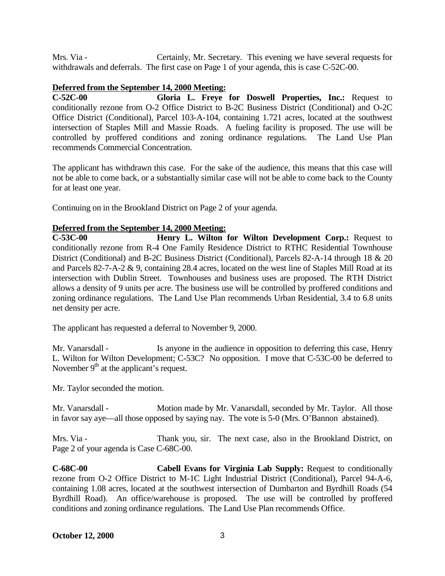Mrs. Via - Certainly, Mr. Secretary. This evening we have several requests for withdrawals and deferrals. The first case on Page 1 of your agenda, this is case C-52C-00.

#### **Deferred from the September 14, 2000 Meeting:**

**C-52C-00 Gloria L. Freye for Doswell Properties, Inc.:** Request to conditionally rezone from O-2 Office District to B-2C Business District (Conditional) and O-2C Office District (Conditional), Parcel 103-A-104, containing 1.721 acres, located at the southwest intersection of Staples Mill and Massie Roads. A fueling facility is proposed. The use will be controlled by proffered conditions and zoning ordinance regulations. The Land Use Plan recommends Commercial Concentration.

The applicant has withdrawn this case. For the sake of the audience, this means that this case will not be able to come back, or a substantially similar case will not be able to come back to the County for at least one year.

Continuing on in the Brookland District on Page 2 of your agenda.

### **Deferred from the September 14, 2000 Meeting:**

**C-53C-00 Henry L. Wilton for Wilton Development Corp.:** Request to conditionally rezone from R-4 One Family Residence District to RTHC Residential Townhouse District (Conditional) and B-2C Business District (Conditional), Parcels 82-A-14 through 18 & 20 and Parcels 82-7-A-2 & 9, containing 28.4 acres, located on the west line of Staples Mill Road at its intersection with Dublin Street. Townhouses and business uses are proposed. The RTH District allows a density of 9 units per acre. The business use will be controlled by proffered conditions and zoning ordinance regulations. The Land Use Plan recommends Urban Residential, 3.4 to 6.8 units net density per acre.

The applicant has requested a deferral to November 9, 2000.

Mr. Vanarsdall - Is anyone in the audience in opposition to deferring this case, Henry L. Wilton for Wilton Development; C-53C? No opposition. I move that C-53C-00 be deferred to November  $9<sup>th</sup>$  at the applicant's request.

Mr. Taylor seconded the motion.

Mr. Vanarsdall - Motion made by Mr. Vanarsdall, seconded by Mr. Taylor. All those in favor say aye—all those opposed by saying nay. The vote is 5-0 (Mrs. O'Bannon abstained).

Mrs. Via - Thank you, sir. The next case, also in the Brookland District, on Page 2 of your agenda is Case C-68C-00.

**C-68C-00 Cabell Evans for Virginia Lab Supply:** Request to conditionally rezone from O-2 Office District to M-1C Light Industrial District (Conditional), Parcel 94-A-6, containing 1.08 acres, located at the southwest intersection of Dumbarton and Byrdhill Roads (54 Byrdhill Road). An office/warehouse is proposed. The use will be controlled by proffered conditions and zoning ordinance regulations. The Land Use Plan recommends Office.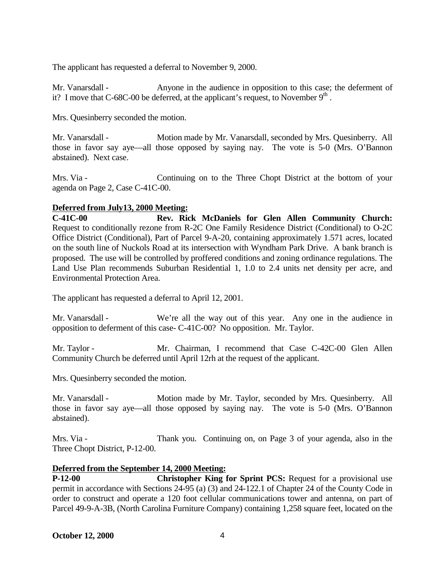The applicant has requested a deferral to November 9, 2000.

Mr. Vanarsdall - Anyone in the audience in opposition to this case; the deferment of it? I move that C-68C-00 be deferred, at the applicant's request, to November  $9<sup>th</sup>$ .

Mrs. Quesinberry seconded the motion.

Mr. Vanarsdall - Motion made by Mr. Vanarsdall, seconded by Mrs. Quesinberry. All those in favor say aye—all those opposed by saying nay. The vote is 5-0 (Mrs. O'Bannon abstained). Next case.

Mrs. Via - Continuing on to the Three Chopt District at the bottom of your agenda on Page 2, Case C-41C-00.

### **Deferred from July13, 2000 Meeting:**

**C-41C-00 Rev. Rick McDaniels for Glen Allen Community Church:** Request to conditionally rezone from R-2C One Family Residence District (Conditional) to O-2C Office District (Conditional), Part of Parcel 9-A-20, containing approximately 1.571 acres, located on the south line of Nuckols Road at its intersection with Wyndham Park Drive. A bank branch is proposed. The use will be controlled by proffered conditions and zoning ordinance regulations. The Land Use Plan recommends Suburban Residential 1, 1.0 to 2.4 units net density per acre, and Environmental Protection Area.

The applicant has requested a deferral to April 12, 2001.

Mr. Vanarsdall - We're all the way out of this year. Any one in the audience in opposition to deferment of this case- C-41C-00? No opposition. Mr. Taylor.

Mr. Taylor - Mr. Chairman, I recommend that Case C-42C-00 Glen Allen Community Church be deferred until April 12rh at the request of the applicant.

Mrs. Quesinberry seconded the motion.

Mr. Vanarsdall - Motion made by Mr. Taylor, seconded by Mrs. Quesinberry. All those in favor say aye—all those opposed by saying nay. The vote is 5-0 (Mrs. O'Bannon abstained).

Mrs. Via - Thank you. Continuing on, on Page 3 of your agenda, also in the Three Chopt District, P-12-00.

#### **Deferred from the September 14, 2000 Meeting:**

**P-12-00 Christopher King for Sprint PCS:** Request for a provisional use permit in accordance with Sections 24-95 (a) (3) and 24-122.1 of Chapter 24 of the County Code in order to construct and operate a 120 foot cellular communications tower and antenna, on part of Parcel 49-9-A-3B, (North Carolina Furniture Company) containing 1,258 square feet, located on the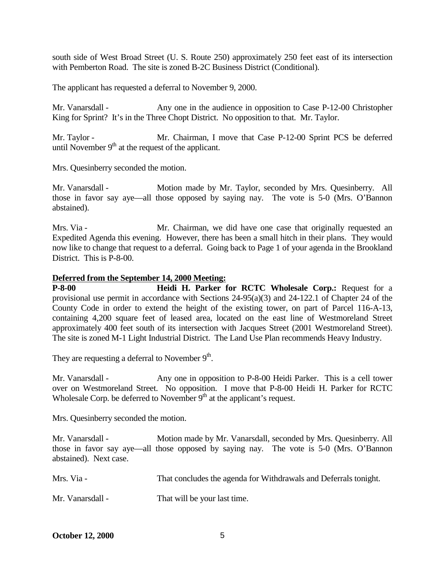south side of West Broad Street (U. S. Route 250) approximately 250 feet east of its intersection with Pemberton Road. The site is zoned B-2C Business District (Conditional).

The applicant has requested a deferral to November 9, 2000.

Mr. Vanarsdall - Any one in the audience in opposition to Case P-12-00 Christopher King for Sprint? It's in the Three Chopt District. No opposition to that. Mr. Taylor.

Mr. Taylor - Mr. Chairman, I move that Case P-12-00 Sprint PCS be deferred until November  $9<sup>th</sup>$  at the request of the applicant.

Mrs. Quesinberry seconded the motion.

Mr. Vanarsdall - Motion made by Mr. Taylor, seconded by Mrs. Quesinberry. All those in favor say aye—all those opposed by saying nay. The vote is 5-0 (Mrs. O'Bannon abstained).

Mrs. Via - The Mr. Chairman, we did have one case that originally requested an Expedited Agenda this evening. However, there has been a small hitch in their plans. They would now like to change that request to a deferral. Going back to Page 1 of your agenda in the Brookland District. This is P-8-00.

#### **Deferred from the September 14, 2000 Meeting:**

**P-8-00 Heidi H. Parker for RCTC Wholesale Corp.:** Request for a provisional use permit in accordance with Sections 24-95(a)(3) and 24-122.1 of Chapter 24 of the County Code in order to extend the height of the existing tower, on part of Parcel 116-A-13, containing 4,200 square feet of leased area, located on the east line of Westmoreland Street approximately 400 feet south of its intersection with Jacques Street (2001 Westmoreland Street). The site is zoned M-1 Light Industrial District. The Land Use Plan recommends Heavy Industry.

They are requesting a deferral to November  $9<sup>th</sup>$ .

Mr. Vanarsdall - Any one in opposition to P-8-00 Heidi Parker. This is a cell tower over on Westmoreland Street. No opposition. I move that P-8-00 Heidi H. Parker for RCTC Wholesale Corp. be deferred to November  $9<sup>th</sup>$  at the applicant's request.

Mrs. Quesinberry seconded the motion.

Mr. Vanarsdall - Motion made by Mr. Vanarsdall, seconded by Mrs. Quesinberry. All those in favor say aye—all those opposed by saying nay. The vote is 5-0 (Mrs. O'Bannon abstained). Next case.

| Mrs. Via -       | That concludes the agenda for Withdrawals and Deferrals tonight. |
|------------------|------------------------------------------------------------------|
| Mr. Vanarsdall - | That will be your last time.                                     |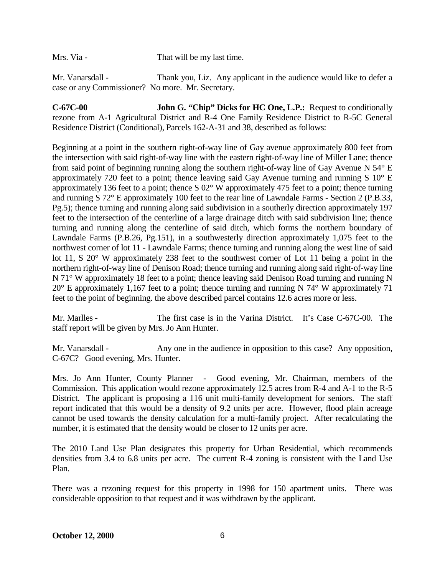Mrs. Via - That will be my last time.

Mr. Vanarsdall - Thank you, Liz. Any applicant in the audience would like to defer a case or any Commissioner? No more. Mr. Secretary.

**C-67C-00 John G. "Chip" Dicks for HC One, L.P.:** Request to conditionally rezone from A-1 Agricultural District and R-4 One Family Residence District to R-5C General Residence District (Conditional), Parcels 162-A-31 and 38, described as follows:

Beginning at a point in the southern right-of-way line of Gay avenue approximately 800 feet from the intersection with said right-of-way line with the eastern right-of-way line of Miller Lane; thence from said point of beginning running along the southern right-of-way line of Gay Avenue N 54° E approximately 720 feet to a point; thence leaving said Gay Avenue turning and running S 10° E approximately 136 feet to a point; thence S 02° W approximately 475 feet to a point; thence turning and running S 72° E approximately 100 feet to the rear line of Lawndale Farms - Section 2 (P.B.33, Pg.5); thence turning and running along said subdivision in a southerly direction approximately 197 feet to the intersection of the centerline of a large drainage ditch with said subdivision line; thence turning and running along the centerline of said ditch, which forms the northern boundary of Lawndale Farms (P.B.26, Pg.151), in a southwesterly direction approximately 1,075 feet to the northwest corner of lot 11 - Lawndale Farms; thence turning and running along the west line of said lot 11, S 20° W approximately 238 feet to the southwest corner of Lot 11 being a point in the northern right-of-way line of Denison Road; thence turning and running along said right-of-way line N 71° W approximately 18 feet to a point; thence leaving said Denison Road turning and running N  $20^{\circ}$  E approximately 1,167 feet to a point; thence turning and running N 74° W approximately 71 feet to the point of beginning. the above described parcel contains 12.6 acres more or less.

Mr. Marlles - The first case is in the Varina District. It's Case C-67C-00. The staff report will be given by Mrs. Jo Ann Hunter.

Mr. Vanarsdall - Any one in the audience in opposition to this case? Any opposition, C-67C? Good evening, Mrs. Hunter.

Mrs. Jo Ann Hunter, County Planner - Good evening, Mr. Chairman, members of the Commission. This application would rezone approximately 12.5 acres from R-4 and A-1 to the R-5 District. The applicant is proposing a 116 unit multi-family development for seniors. The staff report indicated that this would be a density of 9.2 units per acre. However, flood plain acreage cannot be used towards the density calculation for a multi-family project. After recalculating the number, it is estimated that the density would be closer to 12 units per acre.

The 2010 Land Use Plan designates this property for Urban Residential, which recommends densities from 3.4 to 6.8 units per acre. The current R-4 zoning is consistent with the Land Use Plan.

There was a rezoning request for this property in 1998 for 150 apartment units. There was considerable opposition to that request and it was withdrawn by the applicant.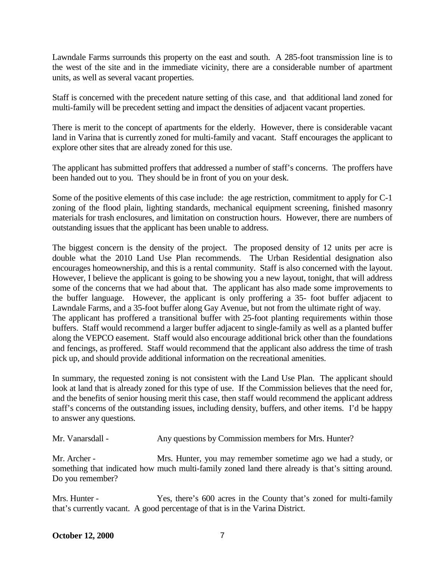Lawndale Farms surrounds this property on the east and south. A 285-foot transmission line is to the west of the site and in the immediate vicinity, there are a considerable number of apartment units, as well as several vacant properties.

Staff is concerned with the precedent nature setting of this case, and that additional land zoned for multi-family will be precedent setting and impact the densities of adjacent vacant properties.

There is merit to the concept of apartments for the elderly. However, there is considerable vacant land in Varina that is currently zoned for multi-family and vacant. Staff encourages the applicant to explore other sites that are already zoned for this use.

The applicant has submitted proffers that addressed a number of staff's concerns. The proffers have been handed out to you. They should be in front of you on your desk.

Some of the positive elements of this case include: the age restriction, commitment to apply for C-1 zoning of the flood plain, lighting standards, mechanical equipment screening, finished masonry materials for trash enclosures, and limitation on construction hours. However, there are numbers of outstanding issues that the applicant has been unable to address.

The biggest concern is the density of the project. The proposed density of 12 units per acre is double what the 2010 Land Use Plan recommends. The Urban Residential designation also encourages homeownership, and this is a rental community. Staff is also concerned with the layout. However, I believe the applicant is going to be showing you a new layout, tonight, that will address some of the concerns that we had about that. The applicant has also made some improvements to the buffer language. However, the applicant is only proffering a 35- foot buffer adjacent to Lawndale Farms, and a 35-foot buffer along Gay Avenue, but not from the ultimate right of way. The applicant has proffered a transitional buffer with 25-foot planting requirements within those buffers. Staff would recommend a larger buffer adjacent to single-family as well as a planted buffer along the VEPCO easement. Staff would also encourage additional brick other than the foundations and fencings, as proffered. Staff would recommend that the applicant also address the time of trash pick up, and should provide additional information on the recreational amenities.

In summary, the requested zoning is not consistent with the Land Use Plan. The applicant should look at land that is already zoned for this type of use. If the Commission believes that the need for, and the benefits of senior housing merit this case, then staff would recommend the applicant address staff's concerns of the outstanding issues, including density, buffers, and other items. I'd be happy to answer any questions.

```
Mr. Vanarsdall - Any questions by Commission members for Mrs. Hunter?
```
Mr. Archer - Mrs. Hunter, you may remember sometime ago we had a study, or something that indicated how much multi-family zoned land there already is that's sitting around. Do you remember?

Mrs. Hunter - Yes, there's 600 acres in the County that's zoned for multi-family that's currently vacant. A good percentage of that is in the Varina District.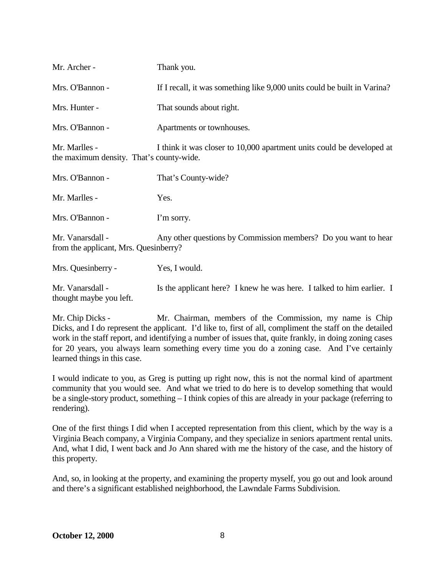| Mr. Archer -                                              | Thank you.                                                               |
|-----------------------------------------------------------|--------------------------------------------------------------------------|
| Mrs. O'Bannon -                                           | If I recall, it was something like 9,000 units could be built in Varina? |
| Mrs. Hunter -                                             | That sounds about right.                                                 |
| Mrs. O'Bannon -                                           | Apartments or townhouses.                                                |
| Mr. Marlles -<br>the maximum density. That's county-wide. | I think it was closer to 10,000 apartment units could be developed at    |
| Mrs. O'Bannon -                                           | That's County-wide?                                                      |
| Mr. Marlles -                                             | Yes.                                                                     |
| Mrs. O'Bannon -                                           | I'm sorry.                                                               |
| Mr. Vanarsdall -<br>from the applicant, Mrs. Quesinberry? | Any other questions by Commission members? Do you want to hear           |
| Mrs. Quesinberry -                                        | Yes, I would.                                                            |
|                                                           |                                                                          |

Mr. Vanarsdall - Is the applicant here? I knew he was here. I talked to him earlier. I thought maybe you left.

Mr. Chip Dicks - Mr. Chairman, members of the Commission, my name is Chip Dicks, and I do represent the applicant. I'd like to, first of all, compliment the staff on the detailed work in the staff report, and identifying a number of issues that, quite frankly, in doing zoning cases for 20 years, you always learn something every time you do a zoning case. And I've certainly learned things in this case.

I would indicate to you, as Greg is putting up right now, this is not the normal kind of apartment community that you would see. And what we tried to do here is to develop something that would be a single-story product, something – I think copies of this are already in your package (referring to rendering).

One of the first things I did when I accepted representation from this client, which by the way is a Virginia Beach company, a Virginia Company, and they specialize in seniors apartment rental units. And, what I did, I went back and Jo Ann shared with me the history of the case, and the history of this property.

And, so, in looking at the property, and examining the property myself, you go out and look around and there's a significant established neighborhood, the Lawndale Farms Subdivision.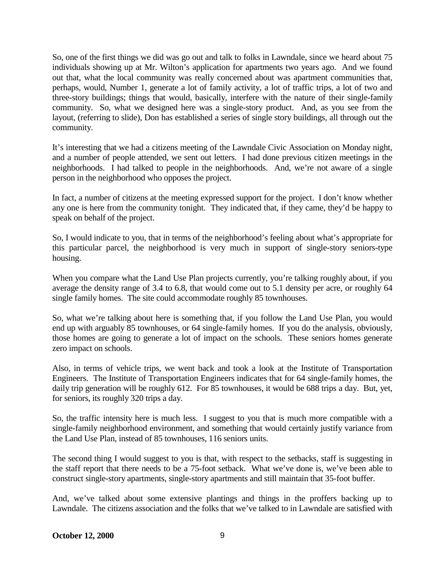So, one of the first things we did was go out and talk to folks in Lawndale, since we heard about 75 individuals showing up at Mr. Wilton's application for apartments two years ago. And we found out that, what the local community was really concerned about was apartment communities that, perhaps, would, Number 1, generate a lot of family activity, a lot of traffic trips, a lot of two and three-story buildings; things that would, basically, interfere with the nature of their single-family community. So, what we designed here was a single-story product. And, as you see from the layout, (referring to slide), Don has established a series of single story buildings, all through out the community.

It's interesting that we had a citizens meeting of the Lawndale Civic Association on Monday night, and a number of people attended, we sent out letters. I had done previous citizen meetings in the neighborhoods. I had talked to people in the neighborhoods. And, we're not aware of a single person in the neighborhood who opposes the project.

In fact, a number of citizens at the meeting expressed support for the project. I don't know whether any one is here from the community tonight. They indicated that, if they came, they'd be happy to speak on behalf of the project.

So, I would indicate to you, that in terms of the neighborhood's feeling about what's appropriate for this particular parcel, the neighborhood is very much in support of single-story seniors-type housing.

When you compare what the Land Use Plan projects currently, you're talking roughly about, if you average the density range of 3.4 to 6.8, that would come out to 5.1 density per acre, or roughly 64 single family homes. The site could accommodate roughly 85 townhouses.

So, what we're talking about here is something that, if you follow the Land Use Plan, you would end up with arguably 85 townhouses, or 64 single-family homes. If you do the analysis, obviously, those homes are going to generate a lot of impact on the schools. These seniors homes generate zero impact on schools.

Also, in terms of vehicle trips, we went back and took a look at the Institute of Transportation Engineers. The Institute of Transportation Engineers indicates that for 64 single-family homes, the daily trip generation will be roughly 612. For 85 townhouses, it would be 688 trips a day. But, yet, for seniors, its roughly 320 trips a day.

So, the traffic intensity here is much less. I suggest to you that is much more compatible with a single-family neighborhood environment, and something that would certainly justify variance from the Land Use Plan, instead of 85 townhouses, 116 seniors units.

The second thing I would suggest to you is that, with respect to the setbacks, staff is suggesting in the staff report that there needs to be a 75-foot setback. What we've done is, we've been able to construct single-story apartments, single-story apartments and still maintain that 35-foot buffer.

And, we've talked about some extensive plantings and things in the proffers backing up to Lawndale. The citizens association and the folks that we've talked to in Lawndale are satisfied with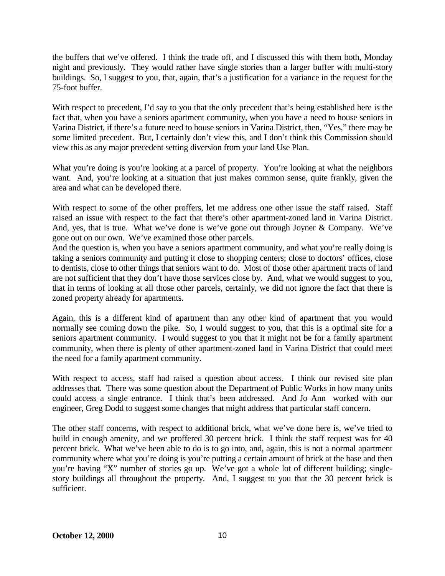the buffers that we've offered. I think the trade off, and I discussed this with them both, Monday night and previously. They would rather have single stories than a larger buffer with multi-story buildings. So, I suggest to you, that, again, that's a justification for a variance in the request for the 75-foot buffer.

With respect to precedent, I'd say to you that the only precedent that's being established here is the fact that, when you have a seniors apartment community, when you have a need to house seniors in Varina District, if there's a future need to house seniors in Varina District, then, "Yes," there may be some limited precedent. But, I certainly don't view this, and I don't think this Commission should view this as any major precedent setting diversion from your land Use Plan.

What you're doing is you're looking at a parcel of property. You're looking at what the neighbors want. And, you're looking at a situation that just makes common sense, quite frankly, given the area and what can be developed there.

With respect to some of the other proffers, let me address one other issue the staff raised. Staff raised an issue with respect to the fact that there's other apartment-zoned land in Varina District. And, yes, that is true. What we've done is we've gone out through Joyner & Company. We've gone out on our own. We've examined those other parcels.

And the question is, when you have a seniors apartment community, and what you're really doing is taking a seniors community and putting it close to shopping centers; close to doctors' offices, close to dentists, close to other things that seniors want to do. Most of those other apartment tracts of land are not sufficient that they don't have those services close by. And, what we would suggest to you, that in terms of looking at all those other parcels, certainly, we did not ignore the fact that there is zoned property already for apartments.

Again, this is a different kind of apartment than any other kind of apartment that you would normally see coming down the pike. So, I would suggest to you, that this is a optimal site for a seniors apartment community. I would suggest to you that it might not be for a family apartment community, when there is plenty of other apartment-zoned land in Varina District that could meet the need for a family apartment community.

With respect to access, staff had raised a question about access. I think our revised site plan addresses that. There was some question about the Department of Public Works in how many units could access a single entrance. I think that's been addressed. And Jo Ann worked with our engineer, Greg Dodd to suggest some changes that might address that particular staff concern.

The other staff concerns, with respect to additional brick, what we've done here is, we've tried to build in enough amenity, and we proffered 30 percent brick. I think the staff request was for 40 percent brick. What we've been able to do is to go into, and, again, this is not a normal apartment community where what you're doing is you're putting a certain amount of brick at the base and then you're having "X" number of stories go up. We've got a whole lot of different building; singlestory buildings all throughout the property. And, I suggest to you that the 30 percent brick is sufficient.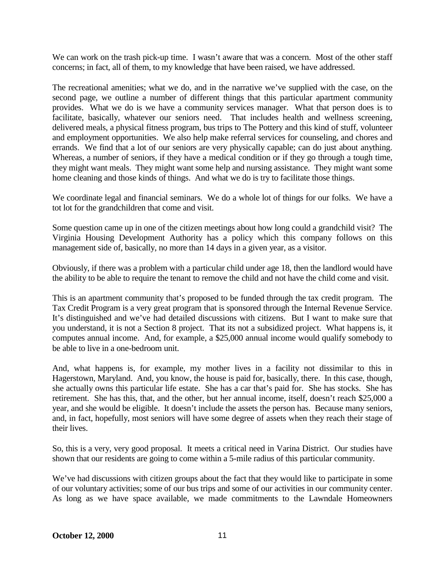We can work on the trash pick-up time. I wasn't aware that was a concern. Most of the other staff concerns; in fact, all of them, to my knowledge that have been raised, we have addressed.

The recreational amenities; what we do, and in the narrative we've supplied with the case, on the second page, we outline a number of different things that this particular apartment community provides. What we do is we have a community services manager. What that person does is to facilitate, basically, whatever our seniors need. That includes health and wellness screening, delivered meals, a physical fitness program, bus trips to The Pottery and this kind of stuff, volunteer and employment opportunities. We also help make referral services for counseling, and chores and errands. We find that a lot of our seniors are very physically capable; can do just about anything. Whereas, a number of seniors, if they have a medical condition or if they go through a tough time, they might want meals. They might want some help and nursing assistance. They might want some home cleaning and those kinds of things. And what we do is try to facilitate those things.

We coordinate legal and financial seminars. We do a whole lot of things for our folks. We have a tot lot for the grandchildren that come and visit.

Some question came up in one of the citizen meetings about how long could a grandchild visit? The Virginia Housing Development Authority has a policy which this company follows on this management side of, basically, no more than 14 days in a given year, as a visitor.

Obviously, if there was a problem with a particular child under age 18, then the landlord would have the ability to be able to require the tenant to remove the child and not have the child come and visit.

This is an apartment community that's proposed to be funded through the tax credit program. The Tax Credit Program is a very great program that is sponsored through the Internal Revenue Service. It's distinguished and we've had detailed discussions with citizens. But I want to make sure that you understand, it is not a Section 8 project. That its not a subsidized project. What happens is, it computes annual income. And, for example, a \$25,000 annual income would qualify somebody to be able to live in a one-bedroom unit.

And, what happens is, for example, my mother lives in a facility not dissimilar to this in Hagerstown, Maryland. And, you know, the house is paid for, basically, there. In this case, though, she actually owns this particular life estate. She has a car that's paid for. She has stocks. She has retirement. She has this, that, and the other, but her annual income, itself, doesn't reach \$25,000 a year, and she would be eligible. It doesn't include the assets the person has. Because many seniors, and, in fact, hopefully, most seniors will have some degree of assets when they reach their stage of their lives.

So, this is a very, very good proposal. It meets a critical need in Varina District. Our studies have shown that our residents are going to come within a 5-mile radius of this particular community.

We've had discussions with citizen groups about the fact that they would like to participate in some of our voluntary activities; some of our bus trips and some of our activities in our community center. As long as we have space available, we made commitments to the Lawndale Homeowners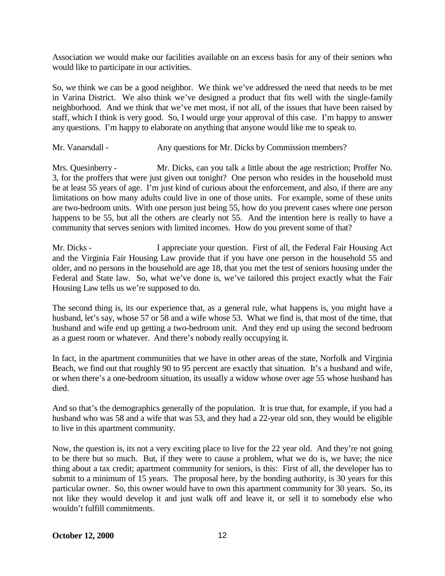Association we would make our facilities available on an excess basis for any of their seniors who would like to participate in our activities.

So, we think we can be a good neighbor. We think we've addressed the need that needs to be met in Varina District. We also think we've designed a product that fits well with the single-family neighborhood. And we think that we've met most, if not all, of the issues that have been raised by staff, which I think is very good. So, I would urge your approval of this case. I'm happy to answer any questions. I'm happy to elaborate on anything that anyone would like me to speak to.

Mr. Vanarsdall - Any questions for Mr. Dicks by Commission members?

Mrs. Quesinberry - Mr. Dicks, can you talk a little about the age restriction; Proffer No. 3, for the proffers that were just given out tonight? One person who resides in the household must be at least 55 years of age. I'm just kind of curious about the enforcement, and also, if there are any limitations on how many adults could live in one of those units. For example, some of these units are two-bedroom units. With one person just being 55, how do you prevent cases where one person happens to be 55, but all the others are clearly not 55. And the intention here is really to have a community that serves seniors with limited incomes. How do you prevent some of that?

Mr. Dicks - I appreciate your question. First of all, the Federal Fair Housing Act and the Virginia Fair Housing Law provide that if you have one person in the household 55 and older, and no persons in the household are age 18, that you met the test of seniors housing under the Federal and State law. So, what we've done is, we've tailored this project exactly what the Fair Housing Law tells us we're supposed to do.

The second thing is, its our experience that, as a general rule, what happens is, you might have a husband, let's say, whose 57 or 58 and a wife whose 53. What we find is, that most of the time, that husband and wife end up getting a two-bedroom unit. And they end up using the second bedroom as a guest room or whatever. And there's nobody really occupying it.

In fact, in the apartment communities that we have in other areas of the state, Norfolk and Virginia Beach, we find out that roughly 90 to 95 percent are exactly that situation. It's a husband and wife, or when there's a one-bedroom situation, its usually a widow whose over age 55 whose husband has died.

And so that's the demographics generally of the population. It is true that, for example, if you had a husband who was 58 and a wife that was 53, and they had a 22-year old son, they would be eligible to live in this apartment community.

Now, the question is, its not a very exciting place to live for the 22 year old. And they're not going to be there but so much. But, if they were to cause a problem, what we do is, we have; the nice thing about a tax credit; apartment community for seniors, is this: First of all, the developer has to submit to a minimum of 15 years. The proposal here, by the bonding authority, is 30 years for this particular owner. So, this owner would have to own this apartment community for 30 years. So, its not like they would develop it and just walk off and leave it, or sell it to somebody else who wouldn't fulfill commitments.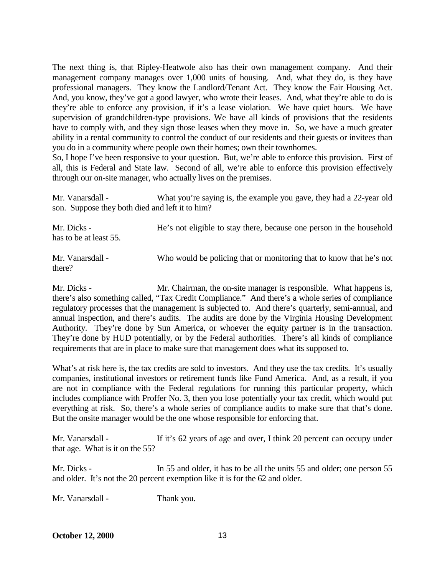The next thing is, that Ripley-Heatwole also has their own management company. And their management company manages over 1,000 units of housing. And, what they do, is they have professional managers. They know the Landlord/Tenant Act. They know the Fair Housing Act. And, you know, they've got a good lawyer, who wrote their leases. And, what they're able to do is they're able to enforce any provision, if it's a lease violation. We have quiet hours. We have supervision of grandchildren-type provisions. We have all kinds of provisions that the residents have to comply with, and they sign those leases when they move in. So, we have a much greater ability in a rental community to control the conduct of our residents and their guests or invitees than you do in a community where people own their homes; own their townhomes.

So, I hope I've been responsive to your question. But, we're able to enforce this provision. First of all, this is Federal and State law. Second of all, we're able to enforce this provision effectively through our on-site manager, who actually lives on the premises.

Mr. Vanarsdall - What you're saying is, the example you gave, they had a 22-year old son. Suppose they both died and left it to him?

Mr. Dicks - He's not eligible to stay there, because one person in the household has to be at least 55. Mr. Vanarsdall - Who would be policing that or monitoring that to know that he's not there?

Mr. Dicks - Mr. Chairman, the on-site manager is responsible. What happens is, there's also something called, "Tax Credit Compliance." And there's a whole series of compliance regulatory processes that the management is subjected to. And there's quarterly, semi-annual, and annual inspection, and there's audits. The audits are done by the Virginia Housing Development Authority. They're done by Sun America, or whoever the equity partner is in the transaction. They're done by HUD potentially, or by the Federal authorities. There's all kinds of compliance requirements that are in place to make sure that management does what its supposed to.

What's at risk here is, the tax credits are sold to investors. And they use the tax credits. It's usually companies, institutional investors or retirement funds like Fund America. And, as a result, if you are not in compliance with the Federal regulations for running this particular property, which includes compliance with Proffer No. 3, then you lose potentially your tax credit, which would put everything at risk. So, there's a whole series of compliance audits to make sure that that's done. But the onsite manager would be the one whose responsible for enforcing that.

Mr. Vanarsdall - If it's 62 years of age and over, I think 20 percent can occupy under that age. What is it on the 55?

Mr. Dicks - In 55 and older, it has to be all the units 55 and older; one person 55 and older. It's not the 20 percent exemption like it is for the 62 and older.

Mr. Vanarsdall - Thank you.

**October 12, 2000** 13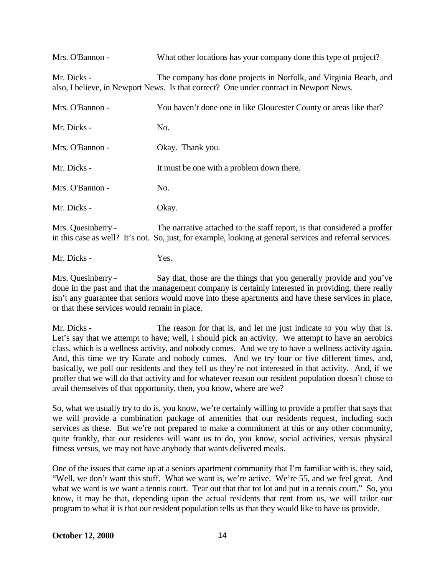| Mrs. O'Bannon -    | What other locations has your company done this type of project?                                                                                                                      |
|--------------------|---------------------------------------------------------------------------------------------------------------------------------------------------------------------------------------|
| Mr. Dicks -        | The company has done projects in Norfolk, and Virginia Beach, and<br>also, I believe, in Newport News. Is that correct? One under contract in Newport News.                           |
| Mrs. O'Bannon -    | You haven't done one in like Gloucester County or areas like that?                                                                                                                    |
| Mr. Dicks -        | No.                                                                                                                                                                                   |
| Mrs. O'Bannon -    | Okay. Thank you.                                                                                                                                                                      |
| Mr. Dicks -        | It must be one with a problem down there.                                                                                                                                             |
| Mrs. O'Bannon -    | No.                                                                                                                                                                                   |
| Mr. Dicks -        | Okay.                                                                                                                                                                                 |
| Mrs. Quesinberry - | The narrative attached to the staff report, is that considered a proffer<br>in this case as well? It's not. So, just, for example, looking at general services and referral services. |

Mr. Dicks - Yes.

Mrs. Quesinberry - Say that, those are the things that you generally provide and you've done in the past and that the management company is certainly interested in providing, there really isn't any guarantee that seniors would move into these apartments and have these services in place, or that these services would remain in place.

Mr. Dicks - The reason for that is, and let me just indicate to you why that is. Let's say that we attempt to have; well, I should pick an activity. We attempt to have an aerobics class, which is a wellness activity, and nobody comes. And we try to have a wellness activity again. And, this time we try Karate and nobody comes. And we try four or five different times, and, basically, we poll our residents and they tell us they're not interested in that activity. And, if we proffer that we will do that activity and for whatever reason our resident population doesn't chose to avail themselves of that opportunity, then, you know, where are we?

So, what we usually try to do is, you know, we're certainly willing to provide a proffer that says that we will provide a combination package of amenities that our residents request, including such services as these. But we're not prepared to make a commitment at this or any other community, quite frankly, that our residents will want us to do, you know, social activities, versus physical fitness versus, we may not have anybody that wants delivered meals.

One of the issues that came up at a seniors apartment community that I'm familiar with is, they said, "Well, we don't want this stuff. What we want is, we're active. We're 55, and we feel great. And what we want is we want a tennis court. Tear out that that tot lot and put in a tennis court." So, you know, it may be that, depending upon the actual residents that rent from us, we will tailor our program to what it is that our resident population tells us that they would like to have us provide.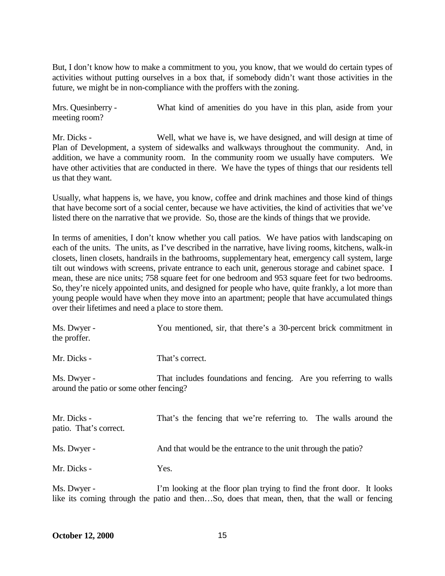But, I don't know how to make a commitment to you, you know, that we would do certain types of activities without putting ourselves in a box that, if somebody didn't want those activities in the future, we might be in non-compliance with the proffers with the zoning.

Mrs. Quesinberry - What kind of amenities do you have in this plan, aside from your meeting room?

Mr. Dicks - Well, what we have is, we have designed, and will design at time of Plan of Development, a system of sidewalks and walkways throughout the community. And, in addition, we have a community room. In the community room we usually have computers. We have other activities that are conducted in there. We have the types of things that our residents tell us that they want.

Usually, what happens is, we have, you know, coffee and drink machines and those kind of things that have become sort of a social center, because we have activities, the kind of activities that we've listed there on the narrative that we provide. So, those are the kinds of things that we provide.

In terms of amenities, I don't know whether you call patios. We have patios with landscaping on each of the units. The units, as I've described in the narrative, have living rooms, kitchens, walk-in closets, linen closets, handrails in the bathrooms, supplementary heat, emergency call system, large tilt out windows with screens, private entrance to each unit, generous storage and cabinet space. I mean, these are nice units; 758 square feet for one bedroom and 953 square feet for two bedrooms. So, they're nicely appointed units, and designed for people who have, quite frankly, a lot more than young people would have when they move into an apartment; people that have accumulated things over their lifetimes and need a place to store them.

| Ms. Dwyer -<br>the proffer.                            | You mentioned, sir, that there's a 30-percent brick commitment in |
|--------------------------------------------------------|-------------------------------------------------------------------|
| Mr. Dicks -                                            | That's correct.                                                   |
| Ms. Dwyer -<br>around the patio or some other fencing? | That includes foundations and fencing. Are you referring to walls |
| Mr. Dicks -<br>patio. That's correct.                  | That's the fencing that we're referring to. The walls around the  |
| Ms. Dwyer -                                            | And that would be the entrance to the unit through the patio?     |
| Mr. Dicks -                                            | Yes.                                                              |

Ms. Dwyer - I'm looking at the floor plan trying to find the front door. It looks like its coming through the patio and then…So, does that mean, then, that the wall or fencing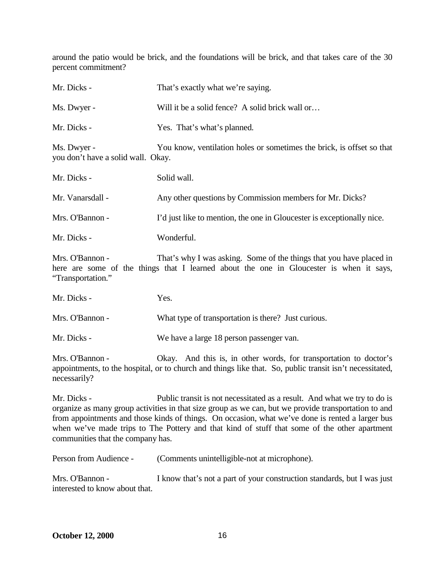around the patio would be brick, and the foundations will be brick, and that takes care of the 30 percent commitment?

| Mr. Dicks -                                       | That's exactly what we're saying.                                      |
|---------------------------------------------------|------------------------------------------------------------------------|
| Ms. Dwyer -                                       | Will it be a solid fence? A solid brick wall or                        |
| Mr. Dicks -                                       | Yes. That's what's planned.                                            |
| Ms. Dwyer -<br>you don't have a solid wall. Okay. | You know, ventilation holes or sometimes the brick, is offset so that  |
| Mr. Dicks -                                       | Solid wall.                                                            |
| Mr. Vanarsdall -                                  | Any other questions by Commission members for Mr. Dicks?               |
| Mrs. O'Bannon -                                   | I'd just like to mention, the one in Gloucester is exceptionally nice. |
| Mr. Dicks -                                       | Wonderful.                                                             |
|                                                   |                                                                        |

Mrs. O'Bannon - That's why I was asking. Some of the things that you have placed in here are some of the things that I learned about the one in Gloucester is when it says, "Transportation."

Mr. Dicks - Yes.

Mrs. O'Bannon - What type of transportation is there? Just curious.

Mr. Dicks - We have a large 18 person passenger van.

Mrs. O'Bannon - Ckay. And this is, in other words, for transportation to doctor's appointments, to the hospital, or to church and things like that. So, public transit isn't necessitated, necessarily?

Mr. Dicks - Public transit is not necessitated as a result. And what we try to do is organize as many group activities in that size group as we can, but we provide transportation to and from appointments and those kinds of things. On occasion, what we've done is rented a larger bus when we've made trips to The Pottery and that kind of stuff that some of the other apartment communities that the company has.

| Person from Audience - | (Comments unintelligible-not at microphone). |
|------------------------|----------------------------------------------|
|------------------------|----------------------------------------------|

Mrs. O'Bannon - I know that's not a part of your construction standards, but I was just interested to know about that.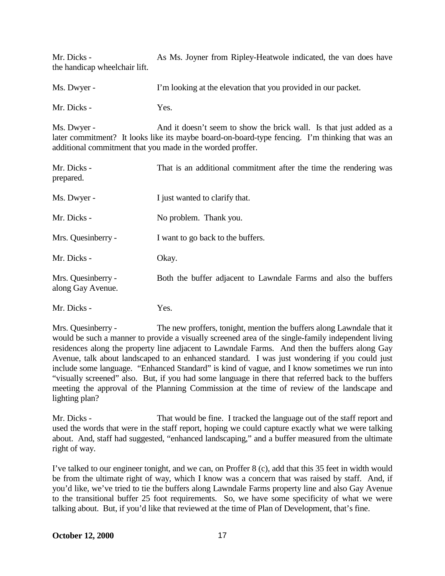Mr. Dicks - As Ms. Joyner from Ripley-Heatwole indicated, the van does have the handicap wheelchair lift.

Ms. Dwyer - I'm looking at the elevation that you provided in our packet.

Mr. Dicks - Yes.

Ms. Dwyer - And it doesn't seem to show the brick wall. Is that just added as a later commitment? It looks like its maybe board-on-board-type fencing. I'm thinking that was an additional commitment that you made in the worded proffer.

| Mr. Dicks -<br>prepared.                | That is an additional commitment after the time the rendering was |
|-----------------------------------------|-------------------------------------------------------------------|
| Ms. Dwyer -                             | I just wanted to clarify that.                                    |
| Mr. Dicks -                             | No problem. Thank you.                                            |
| Mrs. Quesinberry -                      | I want to go back to the buffers.                                 |
| Mr. Dicks -                             | Okay.                                                             |
| Mrs. Quesinberry -<br>along Gay Avenue. | Both the buffer adjacent to Lawndale Farms and also the buffers   |
| Mr. Dicks -                             | Yes.                                                              |

Mrs. Quesinberry - The new proffers, tonight, mention the buffers along Lawndale that it would be such a manner to provide a visually screened area of the single-family independent living residences along the property line adjacent to Lawndale Farms. And then the buffers along Gay Avenue, talk about landscaped to an enhanced standard. I was just wondering if you could just include some language. "Enhanced Standard" is kind of vague, and I know sometimes we run into "visually screened" also. But, if you had some language in there that referred back to the buffers meeting the approval of the Planning Commission at the time of review of the landscape and lighting plan?

Mr. Dicks - That would be fine. I tracked the language out of the staff report and used the words that were in the staff report, hoping we could capture exactly what we were talking about. And, staff had suggested, "enhanced landscaping," and a buffer measured from the ultimate right of way.

I've talked to our engineer tonight, and we can, on Proffer 8 (c), add that this 35 feet in width would be from the ultimate right of way, which I know was a concern that was raised by staff. And, if you'd like, we've tried to tie the buffers along Lawndale Farms property line and also Gay Avenue to the transitional buffer 25 foot requirements. So, we have some specificity of what we were talking about. But, if you'd like that reviewed at the time of Plan of Development, that's fine.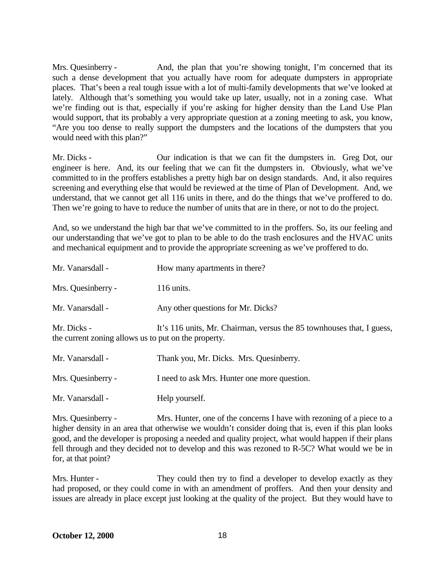Mrs. Quesinberry - And, the plan that you're showing tonight, I'm concerned that its such a dense development that you actually have room for adequate dumpsters in appropriate places. That's been a real tough issue with a lot of multi-family developments that we've looked at lately. Although that's something you would take up later, usually, not in a zoning case. What we're finding out is that, especially if you're asking for higher density than the Land Use Plan would support, that its probably a very appropriate question at a zoning meeting to ask, you know, "Are you too dense to really support the dumpsters and the locations of the dumpsters that you would need with this plan?"

Mr. Dicks - Our indication is that we can fit the dumpsters in. Greg Dot, our engineer is here. And, its our feeling that we can fit the dumpsters in. Obviously, what we've committed to in the proffers establishes a pretty high bar on design standards. And, it also requires screening and everything else that would be reviewed at the time of Plan of Development. And, we understand, that we cannot get all 116 units in there, and do the things that we've proffered to do. Then we're going to have to reduce the number of units that are in there, or not to do the project.

And, so we understand the high bar that we've committed to in the proffers. So, its our feeling and our understanding that we've got to plan to be able to do the trash enclosures and the HVAC units and mechanical equipment and to provide the appropriate screening as we've proffered to do.

| Mr. Vanarsdall -                                                    | How many apartments in there?                                         |
|---------------------------------------------------------------------|-----------------------------------------------------------------------|
| Mrs. Quesinberry -                                                  | 116 units.                                                            |
| Mr. Vanarsdall -                                                    | Any other questions for Mr. Dicks?                                    |
| Mr. Dicks -<br>the current zoning allows us to put on the property. | It's 116 units, Mr. Chairman, versus the 85 townhouses that, I guess, |
| Mr. Vanarsdall -                                                    | Thank you, Mr. Dicks. Mrs. Quesinberry.                               |
| Mrs. Quesinberry -                                                  | I need to ask Mrs. Hunter one more question.                          |

Mr. Vanarsdall - Help yourself.

Mrs. Quesinberry - Mrs. Hunter, one of the concerns I have with rezoning of a piece to a higher density in an area that otherwise we wouldn't consider doing that is, even if this plan looks good, and the developer is proposing a needed and quality project, what would happen if their plans fell through and they decided not to develop and this was rezoned to R-5C? What would we be in for, at that point?

Mrs. Hunter - They could then try to find a developer to develop exactly as they had proposed, or they could come in with an amendment of proffers. And then your density and issues are already in place except just looking at the quality of the project. But they would have to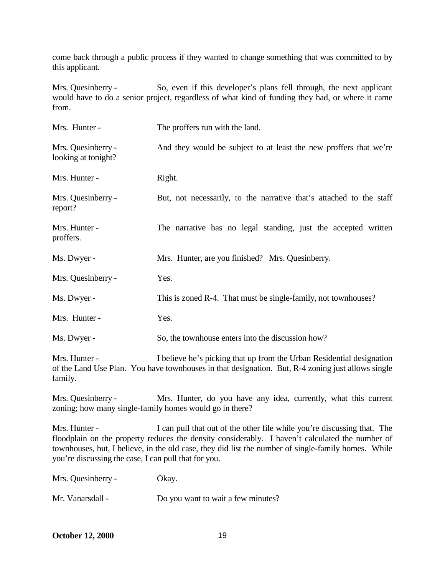come back through a public process if they wanted to change something that was committed to by this applicant.

Mrs. Quesinberry - So, even if this developer's plans fell through, the next applicant would have to do a senior project, regardless of what kind of funding they had, or where it came from.

| Mrs. Hunter -                             | The proffers run with the land.                                       |
|-------------------------------------------|-----------------------------------------------------------------------|
| Mrs. Quesinberry -<br>looking at tonight? | And they would be subject to at least the new proffers that we're     |
| Mrs. Hunter -                             | Right.                                                                |
| Mrs. Quesinberry -<br>report?             | But, not necessarily, to the narrative that's attached to the staff   |
| Mrs. Hunter -<br>proffers.                | The narrative has no legal standing, just the accepted written        |
| Ms. Dwyer -                               | Mrs. Hunter, are you finished? Mrs. Quesinberry.                      |
| Mrs. Quesinberry -                        | Yes.                                                                  |
| Ms. Dwyer -                               | This is zoned R-4. That must be single-family, not townhouses?        |
| Mrs. Hunter -                             | Yes.                                                                  |
| Ms. Dwyer -                               | So, the townhouse enters into the discussion how?                     |
| Mrs. Hunter -                             | I believe he's picking that up from the Urban Residential designation |

of the Land Use Plan. You have townhouses in that designation. But, R-4 zoning just allows single family.

Mrs. Quesinberry - Mrs. Hunter, do you have any idea, currently, what this current zoning; how many single-family homes would go in there?

Mrs. Hunter - I can pull that out of the other file while you're discussing that. The floodplain on the property reduces the density considerably. I haven't calculated the number of townhouses, but, I believe, in the old case, they did list the number of single-family homes. While you're discussing the case, I can pull that for you.

|  | Mrs. Quesinberry - | Okay. |
|--|--------------------|-------|
|--|--------------------|-------|

| Mr. Vanarsdall - | Do you want to wait a few minutes? |
|------------------|------------------------------------|
|------------------|------------------------------------|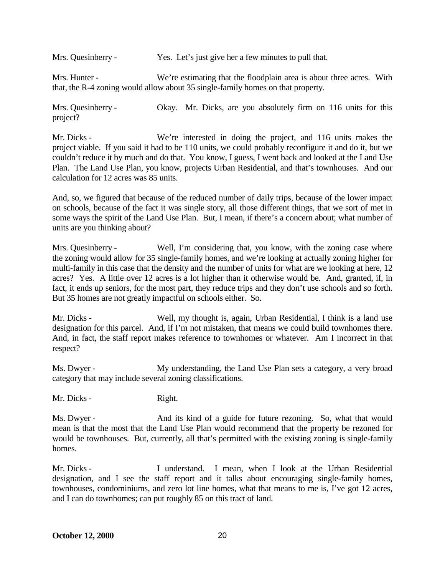Mrs. Quesinberry - Yes. Let's just give her a few minutes to pull that.

Mrs. Hunter - We're estimating that the floodplain area is about three acres. With that, the R-4 zoning would allow about 35 single-family homes on that property.

Mrs. Quesinberry - Okay. Mr. Dicks, are you absolutely firm on 116 units for this project?

Mr. Dicks - We're interested in doing the project, and 116 units makes the project viable. If you said it had to be 110 units, we could probably reconfigure it and do it, but we couldn't reduce it by much and do that. You know, I guess, I went back and looked at the Land Use Plan. The Land Use Plan, you know, projects Urban Residential, and that's townhouses. And our calculation for 12 acres was 85 units.

And, so, we figured that because of the reduced number of daily trips, because of the lower impact on schools, because of the fact it was single story, all those different things, that we sort of met in some ways the spirit of the Land Use Plan. But, I mean, if there's a concern about; what number of units are you thinking about?

Mrs. Quesinberry - Well, I'm considering that, you know, with the zoning case where the zoning would allow for 35 single-family homes, and we're looking at actually zoning higher for multi-family in this case that the density and the number of units for what are we looking at here, 12 acres? Yes. A little over 12 acres is a lot higher than it otherwise would be. And, granted, if, in fact, it ends up seniors, for the most part, they reduce trips and they don't use schools and so forth. But 35 homes are not greatly impactful on schools either. So.

Mr. Dicks - Well, my thought is, again, Urban Residential, I think is a land use designation for this parcel. And, if I'm not mistaken, that means we could build townhomes there. And, in fact, the staff report makes reference to townhomes or whatever. Am I incorrect in that respect?

Ms. Dwyer - My understanding, the Land Use Plan sets a category, a very broad category that may include several zoning classifications.

Mr. Dicks - Right.

Ms. Dwyer - And its kind of a guide for future rezoning. So, what that would mean is that the most that the Land Use Plan would recommend that the property be rezoned for would be townhouses. But, currently, all that's permitted with the existing zoning is single-family homes.

Mr. Dicks - I understand. I mean, when I look at the Urban Residential designation, and I see the staff report and it talks about encouraging single-family homes, townhouses, condominiums, and zero lot line homes, what that means to me is, I've got 12 acres, and I can do townhomes; can put roughly 85 on this tract of land.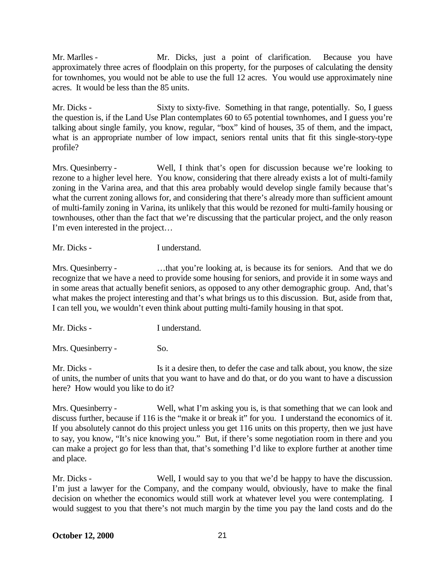Mr. Marlles - Mr. Dicks, just a point of clarification. Because you have approximately three acres of floodplain on this property, for the purposes of calculating the density for townhomes, you would not be able to use the full 12 acres. You would use approximately nine acres. It would be less than the 85 units.

Mr. Dicks - Sixty to sixty-five. Something in that range, potentially. So, I guess the question is, if the Land Use Plan contemplates 60 to 65 potential townhomes, and I guess you're talking about single family, you know, regular, "box" kind of houses, 35 of them, and the impact, what is an appropriate number of low impact, seniors rental units that fit this single-story-type profile?

Mrs. Quesinberry - Well, I think that's open for discussion because we're looking to rezone to a higher level here. You know, considering that there already exists a lot of multi-family zoning in the Varina area, and that this area probably would develop single family because that's what the current zoning allows for, and considering that there's already more than sufficient amount of multi-family zoning in Varina, its unlikely that this would be rezoned for multi-family housing or townhouses, other than the fact that we're discussing that the particular project, and the only reason I'm even interested in the project…

Mr. Dicks - I understand.

Mrs. Quesinberry - ...that you're looking at, is because its for seniors. And that we do recognize that we have a need to provide some housing for seniors, and provide it in some ways and in some areas that actually benefit seniors, as opposed to any other demographic group. And, that's what makes the project interesting and that's what brings us to this discussion. But, aside from that, I can tell you, we wouldn't even think about putting multi-family housing in that spot.

Mr. Dicks - I understand.

Mrs. Quesinberry - So.

Mr. Dicks - Is it a desire then, to defer the case and talk about, you know, the size of units, the number of units that you want to have and do that, or do you want to have a discussion here? How would you like to do it?

Mrs. Quesinberry - Well, what I'm asking you is, is that something that we can look and discuss further, because if 116 is the "make it or break it" for you. I understand the economics of it. If you absolutely cannot do this project unless you get 116 units on this property, then we just have to say, you know, "It's nice knowing you." But, if there's some negotiation room in there and you can make a project go for less than that, that's something I'd like to explore further at another time and place.

Mr. Dicks - Well, I would say to you that we'd be happy to have the discussion. I'm just a lawyer for the Company, and the company would, obviously, have to make the final decision on whether the economics would still work at whatever level you were contemplating. I would suggest to you that there's not much margin by the time you pay the land costs and do the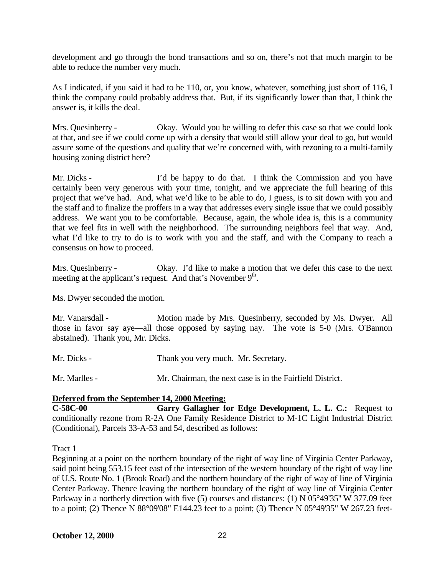development and go through the bond transactions and so on, there's not that much margin to be able to reduce the number very much.

As I indicated, if you said it had to be 110, or, you know, whatever, something just short of 116, I think the company could probably address that. But, if its significantly lower than that, I think the answer is, it kills the deal.

Mrs. Quesinberry - Okay. Would you be willing to defer this case so that we could look at that, and see if we could come up with a density that would still allow your deal to go, but would assure some of the questions and quality that we're concerned with, with rezoning to a multi-family housing zoning district here?

Mr. Dicks - I'd be happy to do that. I think the Commission and you have certainly been very generous with your time, tonight, and we appreciate the full hearing of this project that we've had. And, what we'd like to be able to do, I guess, is to sit down with you and the staff and to finalize the proffers in a way that addresses every single issue that we could possibly address. We want you to be comfortable. Because, again, the whole idea is, this is a community that we feel fits in well with the neighborhood. The surrounding neighbors feel that way. And, what I'd like to try to do is to work with you and the staff, and with the Company to reach a consensus on how to proceed.

Mrs. Quesinberry - Okay. I'd like to make a motion that we defer this case to the next meeting at the applicant's request. And that's November  $9<sup>th</sup>$ .

Ms. Dwyer seconded the motion.

Mr. Vanarsdall - Motion made by Mrs. Quesinberry, seconded by Ms. Dwyer. All those in favor say aye—all those opposed by saying nay. The vote is 5-0 (Mrs. O'Bannon abstained). Thank you, Mr. Dicks.

Mr. Dicks - Thank you very much. Mr. Secretary.

Mr. Marlles - Mr. Chairman, the next case is in the Fairfield District.

#### **Deferred from the September 14, 2000 Meeting:**

**C-58C-00 Garry Gallagher for Edge Development, L. L. C.:** Request to conditionally rezone from R-2A One Family Residence District to M-1C Light Industrial District (Conditional), Parcels 33-A-53 and 54, described as follows:

Tract 1

Beginning at a point on the northern boundary of the right of way line of Virginia Center Parkway, said point being 553.15 feet east of the intersection of the western boundary of the right of way line of U.S. Route No. 1 (Brook Road) and the northern boundary of the right of way of line of Virginia Center Parkway. Thence leaving the northern boundary of the right of way line of Virginia Center Parkway in a northerly direction with five (5) courses and distances: (1) N 05°49'35" W 377.09 feet to a point; (2) Thence N 88°09'08" E144.23 feet to a point; (3) Thence N 05°49'35" W 267.23 feet-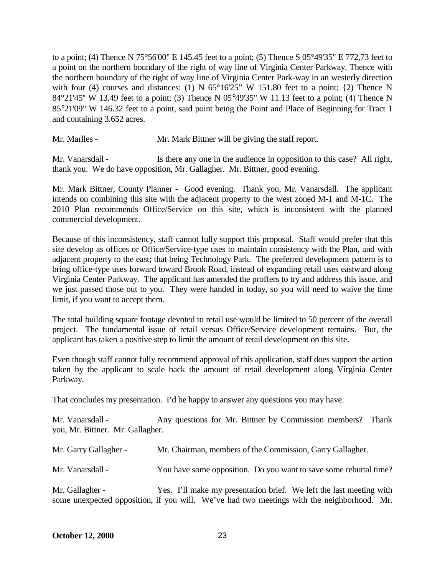to a point; (4) Thence N 75°56'00" E 145.45 feet to a point; (5) Thence S  $05^{\circ}49'35''$  E 772.73 feet to a point on the northern boundary of the right of way line of Virginia Center Parkway. Thence with the northern boundary of the right of way line of Virginia Center Park-way in an westerly direction with four (4) courses and distances: (1) N  $65^{\circ}16'25''$  W 151.80 feet to a point; {2) Thence N 84°21'45'' W 13.49 feet to a point; (3) Thence N 05°49'35" W 11.13 feet to a point; (4) Thence N 85°21'09" W 146.32 feet to a point, said point being the Point and Place of Beginning for Tract 1 and containing 3.652 acres.

Mr. Marlles - Mr. Mark Bittner will be giving the staff report.

Mr. Vanarsdall - Is there any one in the audience in opposition to this case? All right, thank you. We do have opposition, Mr. Gallagher. Mr. Bittner, good evening.

Mr. Mark Bittner, County Planner - Good evening. Thank you, Mr. Vanarsdall. The applicant intends on combining this site with the adjacent property to the west zoned M-1 and M-1C. The 2010 Plan recommends Office/Service on this site, which is inconsistent with the planned commercial development.

Because of this inconsistency, staff cannot fully support this proposal. Staff would prefer that this site develop as offices or Office/Service-type uses to maintain consistency with the Plan, and with adjacent property to the east; that being Technology Park. The preferred development pattern is to bring office-type uses forward toward Brook Road, instead of expanding retail uses eastward along Virginia Center Parkway. The applicant has amended the proffers to try and address this issue, and we just passed those out to you. They were handed in today, so you will need to waive the time limit, if you want to accept them.

The total building square footage devoted to retail use would be limited to 50 percent of the overall project. The fundamental issue of retail versus Office/Service development remains. But, the applicant has taken a positive step to limit the amount of retail development on this site.

Even though staff cannot fully recommend approval of this application, staff does support the action taken by the applicant to scale back the amount of retail development along Virginia Center Parkway.

That concludes my presentation. I'd be happy to answer any questions you may have.

Mr. Vanarsdall - Any questions for Mr. Bittner by Commission members? Thank you, Mr. Bittner. Mr. Gallagher.

| Mr. Garry Gallagher - | Mr. Chairman, members of the Commission, Garry Gallagher.                                                                                                         |
|-----------------------|-------------------------------------------------------------------------------------------------------------------------------------------------------------------|
| Mr. Vanarsdall -      | You have some opposition. Do you want to save some rebuttal time?                                                                                                 |
| Mr. Gallagher -       | Yes. I'll make my presentation brief. We left the last meeting with<br>some unexpected opposition, if you will. We've had two meetings with the neighborhood. Mr. |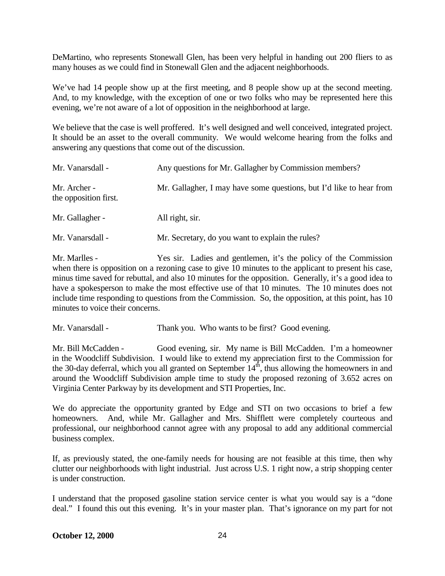DeMartino, who represents Stonewall Glen, has been very helpful in handing out 200 fliers to as many houses as we could find in Stonewall Glen and the adjacent neighborhoods.

We've had 14 people show up at the first meeting, and 8 people show up at the second meeting. And, to my knowledge, with the exception of one or two folks who may be represented here this evening, we're not aware of a lot of opposition in the neighborhood at large.

We believe that the case is well proffered. It's well designed and well conceived, integrated project. It should be an asset to the overall community. We would welcome hearing from the folks and answering any questions that come out of the discussion.

| Mr. Vanarsdall -                      | Any questions for Mr. Gallagher by Commission members?              |
|---------------------------------------|---------------------------------------------------------------------|
| Mr. Archer -<br>the opposition first. | Mr. Gallagher, I may have some questions, but I'd like to hear from |
| Mr. Gallagher -                       | All right, sir.                                                     |
| Mr. Vanarsdall -                      | Mr. Secretary, do you want to explain the rules?                    |

Mr. Marlles - Yes sir. Ladies and gentlemen, it's the policy of the Commission when there is opposition on a rezoning case to give 10 minutes to the applicant to present his case, minus time saved for rebuttal, and also 10 minutes for the opposition. Generally, it's a good idea to have a spokesperson to make the most effective use of that 10 minutes. The 10 minutes does not include time responding to questions from the Commission. So, the opposition, at this point, has 10 minutes to voice their concerns.

Mr. Vanarsdall - Thank you. Who wants to be first? Good evening.

Mr. Bill McCadden - Good evening, sir. My name is Bill McCadden. I'm a homeowner in the Woodcliff Subdivision. I would like to extend my appreciation first to the Commission for the 30-day deferral, which you all granted on September  $14<sup>th</sup>$ , thus allowing the homeowners in and around the Woodcliff Subdivision ample time to study the proposed rezoning of 3.652 acres on Virginia Center Parkway by its development and STI Properties, Inc.

We do appreciate the opportunity granted by Edge and STI on two occasions to brief a few homeowners. And, while Mr. Gallagher and Mrs. Shifflett were completely courteous and professional, our neighborhood cannot agree with any proposal to add any additional commercial business complex.

If, as previously stated, the one-family needs for housing are not feasible at this time, then why clutter our neighborhoods with light industrial. Just across U.S. 1 right now, a strip shopping center is under construction.

I understand that the proposed gasoline station service center is what you would say is a "done deal." I found this out this evening. It's in your master plan. That's ignorance on my part for not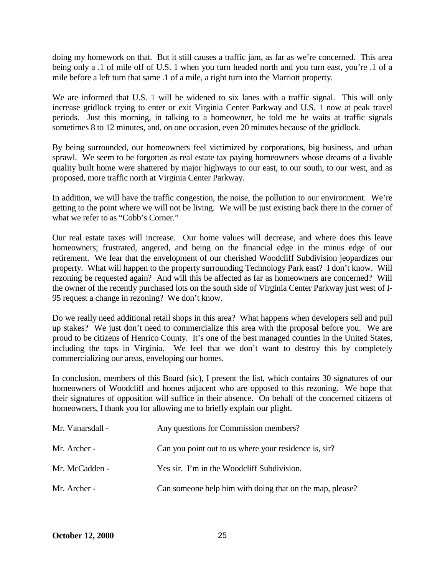doing my homework on that. But it still causes a traffic jam, as far as we're concerned. This area being only a .1 of mile off of U.S. 1 when you turn headed north and you turn east, you're .1 of a mile before a left turn that same .1 of a mile, a right turn into the Marriott property.

We are informed that U.S. 1 will be widened to six lanes with a traffic signal. This will only increase gridlock trying to enter or exit Virginia Center Parkway and U.S. 1 now at peak travel periods. Just this morning, in talking to a homeowner, he told me he waits at traffic signals sometimes 8 to 12 minutes, and, on one occasion, even 20 minutes because of the gridlock.

By being surrounded, our homeowners feel victimized by corporations, big business, and urban sprawl. We seem to be forgotten as real estate tax paying homeowners whose dreams of a livable quality built home were shattered by major highways to our east, to our south, to our west, and as proposed, more traffic north at Virginia Center Parkway.

In addition, we will have the traffic congestion, the noise, the pollution to our environment. We're getting to the point where we will not be living. We will be just existing back there in the corner of what we refer to as "Cobb's Corner."

Our real estate taxes will increase. Our home values will decrease, and where does this leave homeowners; frustrated, angered, and being on the financial edge in the minus edge of our retirement. We fear that the envelopment of our cherished Woodcliff Subdivision jeopardizes our property. What will happen to the property surrounding Technology Park east? I don't know. Will rezoning be requested again? And will this be affected as far as homeowners are concerned? Will the owner of the recently purchased lots on the south side of Virginia Center Parkway just west of I-95 request a change in rezoning? We don't know.

Do we really need additional retail shops in this area? What happens when developers sell and pull up stakes? We just don't need to commercialize this area with the proposal before you. We are proud to be citizens of Henrico County. It's one of the best managed counties in the United States, including the tops in Virginia. We feel that we don't want to destroy this by completely commercializing our areas, enveloping our homes.

In conclusion, members of this Board (sic), I present the list, which contains 30 signatures of our homeowners of Woodcliff and homes adjacent who are opposed to this rezoning. We hope that their signatures of opposition will suffice in their absence. On behalf of the concerned citizens of homeowners, I thank you for allowing me to briefly explain our plight.

| Mr. Vanarsdall - | Any questions for Commission members?                    |
|------------------|----------------------------------------------------------|
| Mr. Archer -     | Can you point out to us where your residence is, sir?    |
| Mr. McCadden -   | Yes sir. I'm in the Woodcliff Subdivision.               |
| Mr. Archer -     | Can someone help him with doing that on the map, please? |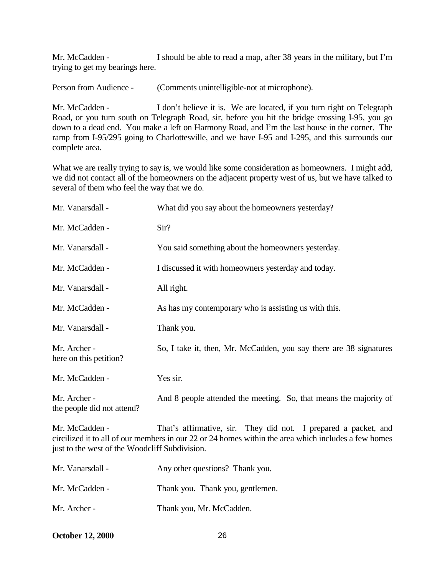Mr. McCadden - I should be able to read a map, after 38 years in the military, but I'm trying to get my bearings here.

Person from Audience - (Comments unintelligible-not at microphone).

Mr. McCadden - I don't believe it is. We are located, if you turn right on Telegraph Road, or you turn south on Telegraph Road, sir, before you hit the bridge crossing I-95, you go down to a dead end. You make a left on Harmony Road, and I'm the last house in the corner. The ramp from I-95/295 going to Charlottesville, and we have I-95 and I-295, and this surrounds our complete area.

What we are really trying to say is, we would like some consideration as homeowners. I might add, we did not contact all of the homeowners on the adjacent property west of us, but we have talked to several of them who feel the way that we do.

| Mr. Vanarsdall -                                                 | What did you say about the homeowners yesterday?                                                                                                                        |
|------------------------------------------------------------------|-------------------------------------------------------------------------------------------------------------------------------------------------------------------------|
| Mr. McCadden -                                                   | Sir?                                                                                                                                                                    |
| Mr. Vanarsdall -                                                 | You said something about the homeowners yesterday.                                                                                                                      |
| Mr. McCadden -                                                   | I discussed it with homeowners yesterday and today.                                                                                                                     |
| Mr. Vanarsdall -                                                 | All right.                                                                                                                                                              |
| Mr. McCadden -                                                   | As has my contemporary who is assisting us with this.                                                                                                                   |
| Mr. Vanarsdall -                                                 | Thank you.                                                                                                                                                              |
| Mr. Archer -<br>here on this petition?                           | So, I take it, then, Mr. McCadden, you say there are 38 signatures                                                                                                      |
| Mr. McCadden -                                                   | Yes sir.                                                                                                                                                                |
| Mr. Archer -<br>the people did not attend?                       | And 8 people attended the meeting. So, that means the majority of                                                                                                       |
| Mr. McCadden -<br>just to the west of the Woodcliff Subdivision. | That's affirmative, sir. They did not. I prepared a packet, and<br>circilized it to all of our members in our 22 or 24 homes within the area which includes a few homes |
| Mr. Vanarsdall -                                                 | Any other questions? Thank you.                                                                                                                                         |
| Mr. McCadden -                                                   | Thank you. Thank you, gentlemen.                                                                                                                                        |

Mr. Archer - Thank you, Mr. McCadden.

**October 12, 2000** 26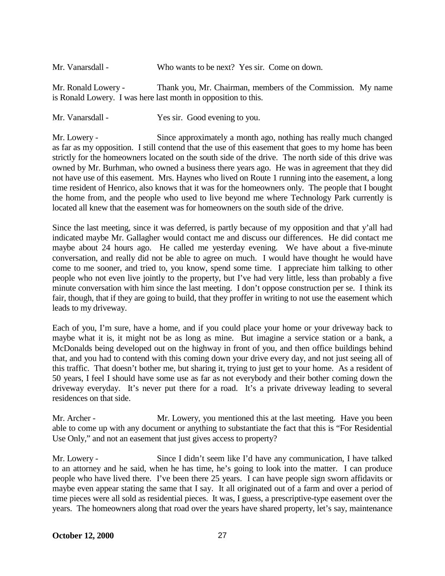Mr. Vanarsdall - Who wants to be next? Yes sir. Come on down.

Mr. Ronald Lowery - Thank you, Mr. Chairman, members of the Commission. My name is Ronald Lowery. I was here last month in opposition to this.

Mr. Vanarsdall - Yes sir. Good evening to you.

Mr. Lowery - Since approximately a month ago, nothing has really much changed as far as my opposition. I still contend that the use of this easement that goes to my home has been strictly for the homeowners located on the south side of the drive. The north side of this drive was owned by Mr. Burhman, who owned a business there years ago. He was in agreement that they did not have use of this easement. Mrs. Haynes who lived on Route 1 running into the easement, a long time resident of Henrico, also knows that it was for the homeowners only. The people that I bought the home from, and the people who used to live beyond me where Technology Park currently is located all knew that the easement was for homeowners on the south side of the drive.

Since the last meeting, since it was deferred, is partly because of my opposition and that y'all had indicated maybe Mr. Gallagher would contact me and discuss our differences. He did contact me maybe about 24 hours ago. He called me yesterday evening. We have about a five-minute conversation, and really did not be able to agree on much. I would have thought he would have come to me sooner, and tried to, you know, spend some time. I appreciate him talking to other people who not even live jointly to the property, but I've had very little, less than probably a five minute conversation with him since the last meeting. I don't oppose construction per se. I think its fair, though, that if they are going to build, that they proffer in writing to not use the easement which leads to my driveway.

Each of you, I'm sure, have a home, and if you could place your home or your driveway back to maybe what it is, it might not be as long as mine. But imagine a service station or a bank, a McDonalds being developed out on the highway in front of you, and then office buildings behind that, and you had to contend with this coming down your drive every day, and not just seeing all of this traffic. That doesn't bother me, but sharing it, trying to just get to your home. As a resident of 50 years, I feel I should have some use as far as not everybody and their bother coming down the driveway everyday. It's never put there for a road. It's a private driveway leading to several residences on that side.

Mr. Archer - Mr. Lowery, you mentioned this at the last meeting. Have you been able to come up with any document or anything to substantiate the fact that this is "For Residential Use Only," and not an easement that just gives access to property?

Mr. Lowery - Since I didn't seem like I'd have any communication, I have talked to an attorney and he said, when he has time, he's going to look into the matter. I can produce people who have lived there. I've been there 25 years. I can have people sign sworn affidavits or maybe even appear stating the same that I say. It all originated out of a farm and over a period of time pieces were all sold as residential pieces. It was, I guess, a prescriptive-type easement over the years. The homeowners along that road over the years have shared property, let's say, maintenance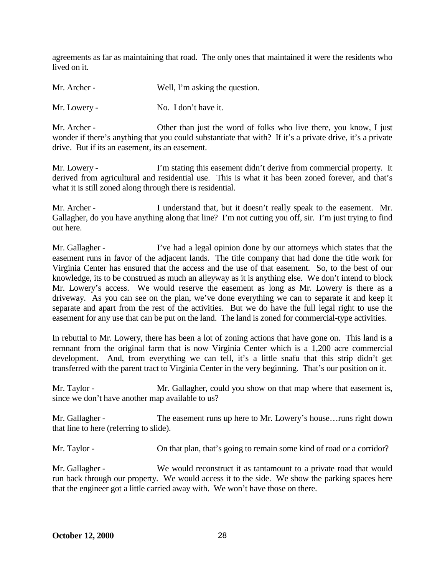agreements as far as maintaining that road. The only ones that maintained it were the residents who lived on it.

Mr. Archer - Well, I'm asking the question.

Mr. Lowery - No. I don't have it.

Mr. Archer - Other than just the word of folks who live there, you know, I just wonder if there's anything that you could substantiate that with? If it's a private drive, it's a private drive. But if its an easement, its an easement.

Mr. Lowery - I'm stating this easement didn't derive from commercial property. It derived from agricultural and residential use. This is what it has been zoned forever, and that's what it is still zoned along through there is residential.

Mr. Archer - I understand that, but it doesn't really speak to the easement. Mr. Gallagher, do you have anything along that line? I'm not cutting you off, sir. I'm just trying to find out here.

Mr. Gallagher - I've had a legal opinion done by our attorneys which states that the easement runs in favor of the adjacent lands. The title company that had done the title work for Virginia Center has ensured that the access and the use of that easement. So, to the best of our knowledge, its to be construed as much an alleyway as it is anything else. We don't intend to block Mr. Lowery's access. We would reserve the easement as long as Mr. Lowery is there as a driveway. As you can see on the plan, we've done everything we can to separate it and keep it separate and apart from the rest of the activities. But we do have the full legal right to use the easement for any use that can be put on the land. The land is zoned for commercial-type activities.

In rebuttal to Mr. Lowery, there has been a lot of zoning actions that have gone on. This land is a remnant from the original farm that is now Virginia Center which is a 1,200 acre commercial development. And, from everything we can tell, it's a little snafu that this strip didn't get transferred with the parent tract to Virginia Center in the very beginning. That's our position on it.

Mr. Taylor - Mr. Gallagher, could you show on that map where that easement is, since we don't have another map available to us?

Mr. Gallagher - The easement runs up here to Mr. Lowery's house…runs right down that line to here (referring to slide).

Mr. Taylor - Con that plan, that's going to remain some kind of road or a corridor?

Mr. Gallagher - We would reconstruct it as tantamount to a private road that would run back through our property. We would access it to the side. We show the parking spaces here that the engineer got a little carried away with. We won't have those on there.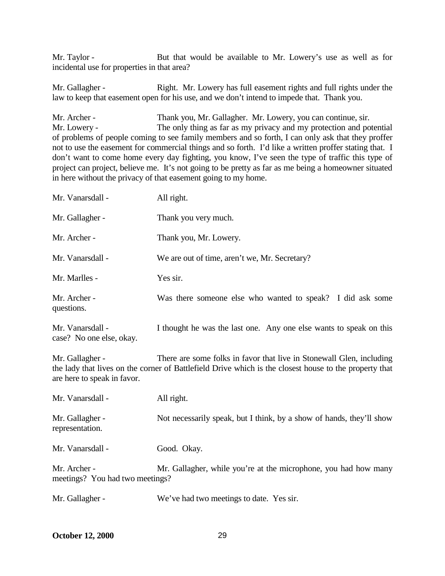Mr. Taylor - But that would be available to Mr. Lowery's use as well as for incidental use for properties in that area?

Mr. Gallagher - Right. Mr. Lowery has full easement rights and full rights under the law to keep that easement open for his use, and we don't intend to impede that. Thank you.

Mr. Archer - Thank you, Mr. Gallagher. Mr. Lowery, you can continue, sir. Mr. Lowery - The only thing as far as my privacy and my protection and potential of problems of people coming to see family members and so forth, I can only ask that they proffer not to use the easement for commercial things and so forth. I'd like a written proffer stating that. I don't want to come home every day fighting, you know, I've seen the type of traffic this type of project can project, believe me. It's not going to be pretty as far as me being a homeowner situated in here without the privacy of that easement going to my home.

| Mr. Vanarsdall -                             | All right.                                                         |
|----------------------------------------------|--------------------------------------------------------------------|
| Mr. Gallagher -                              | Thank you very much.                                               |
| Mr. Archer -                                 | Thank you, Mr. Lowery.                                             |
| Mr. Vanarsdall -                             | We are out of time, aren't we, Mr. Secretary?                      |
| Mr. Marlles -                                | Yes sir.                                                           |
| Mr. Archer -<br>questions.                   | Was there someone else who wanted to speak? I did ask some         |
| Mr. Vanarsdall -<br>case? No one else, okay. | I thought he was the last one. Any one else wants to speak on this |

Mr. Gallagher - There are some folks in favor that live in Stonewall Glen, including the lady that lives on the corner of Battlefield Drive which is the closest house to the property that are here to speak in favor.

| Mr. Vanarsdall -                                | All right.                                                           |
|-------------------------------------------------|----------------------------------------------------------------------|
| Mr. Gallagher -<br>representation.              | Not necessarily speak, but I think, by a show of hands, they'll show |
| Mr. Vanarsdall -                                | Good. Okay.                                                          |
| Mr. Archer -<br>meetings? You had two meetings? | Mr. Gallagher, while you're at the microphone, you had how many      |
| Mr. Gallagher -                                 | We've had two meetings to date. Yes sir.                             |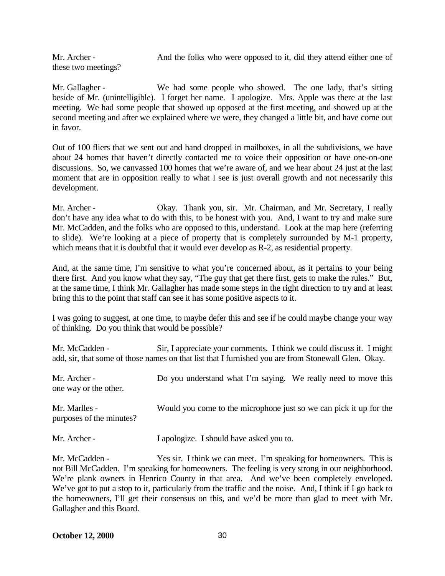Mr. Archer - And the folks who were opposed to it, did they attend either one of these two meetings?

Mr. Gallagher - We had some people who showed. The one lady, that's sitting beside of Mr. (unintelligible). I forget her name. I apologize. Mrs. Apple was there at the last meeting. We had some people that showed up opposed at the first meeting, and showed up at the second meeting and after we explained where we were, they changed a little bit, and have come out in favor.

Out of 100 fliers that we sent out and hand dropped in mailboxes, in all the subdivisions, we have about 24 homes that haven't directly contacted me to voice their opposition or have one-on-one discussions. So, we canvassed 100 homes that we're aware of, and we hear about 24 just at the last moment that are in opposition really to what I see is just overall growth and not necessarily this development.

Mr. Archer - Okay. Thank you, sir. Mr. Chairman, and Mr. Secretary, I really don't have any idea what to do with this, to be honest with you. And, I want to try and make sure Mr. McCadden, and the folks who are opposed to this, understand. Look at the map here (referring to slide). We're looking at a piece of property that is completely surrounded by M-1 property, which means that it is doubtful that it would ever develop as R-2, as residential property.

And, at the same time, I'm sensitive to what you're concerned about, as it pertains to your being there first. And you know what they say, "The guy that get there first, gets to make the rules." But, at the same time, I think Mr. Gallagher has made some steps in the right direction to try and at least bring this to the point that staff can see it has some positive aspects to it.

I was going to suggest, at one time, to maybe defer this and see if he could maybe change your way of thinking. Do you think that would be possible?

Mr. McCadden - Sir, I appreciate your comments. I think we could discuss it. I might add, sir, that some of those names on that list that I furnished you are from Stonewall Glen. Okay.

| Mr. Archer -<br>one way or the other.     | Do you understand what I'm saying. We really need to move this     |
|-------------------------------------------|--------------------------------------------------------------------|
| Mr. Marlles -<br>purposes of the minutes? | Would you come to the microphone just so we can pick it up for the |
| Mr. Archer -                              | I apologize. I should have asked you to.                           |

Mr. McCadden - Yes sir. I think we can meet. I'm speaking for homeowners. This is not Bill McCadden. I'm speaking for homeowners. The feeling is very strong in our neighborhood. We're plank owners in Henrico County in that area. And we've been completely enveloped. We've got to put a stop to it, particularly from the traffic and the noise. And, I think if I go back to the homeowners, I'll get their consensus on this, and we'd be more than glad to meet with Mr. Gallagher and this Board.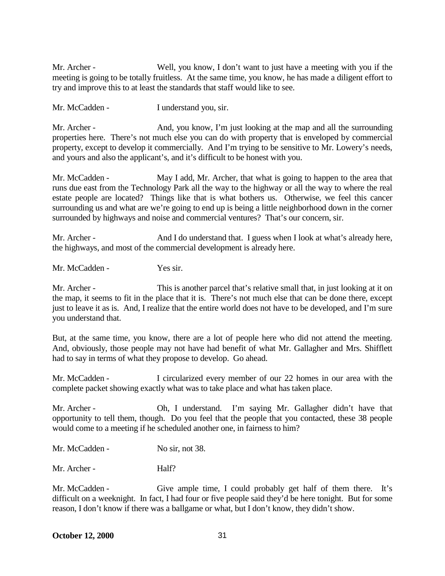Mr. Archer - Well, you know, I don't want to just have a meeting with you if the meeting is going to be totally fruitless. At the same time, you know, he has made a diligent effort to try and improve this to at least the standards that staff would like to see.

Mr. McCadden - I understand you, sir.

Mr. Archer - And, you know, I'm just looking at the map and all the surrounding properties here. There's not much else you can do with property that is enveloped by commercial property, except to develop it commercially. And I'm trying to be sensitive to Mr. Lowery's needs, and yours and also the applicant's, and it's difficult to be honest with you.

Mr. McCadden - May I add, Mr. Archer, that what is going to happen to the area that runs due east from the Technology Park all the way to the highway or all the way to where the real estate people are located? Things like that is what bothers us. Otherwise, we feel this cancer surrounding us and what are we're going to end up is being a little neighborhood down in the corner surrounded by highways and noise and commercial ventures? That's our concern, sir.

Mr. Archer - And I do understand that. I guess when I look at what's already here, the highways, and most of the commercial development is already here.

Mr. McCadden - Yes sir.

Mr. Archer - This is another parcel that's relative small that, in just looking at it on the map, it seems to fit in the place that it is. There's not much else that can be done there, except just to leave it as is. And, I realize that the entire world does not have to be developed, and I'm sure you understand that.

But, at the same time, you know, there are a lot of people here who did not attend the meeting. And, obviously, those people may not have had benefit of what Mr. Gallagher and Mrs. Shifflett had to say in terms of what they propose to develop. Go ahead.

Mr. McCadden - I circularized every member of our 22 homes in our area with the complete packet showing exactly what was to take place and what has taken place.

Mr. Archer - Ch, I understand. I'm saying Mr. Gallagher didn't have that opportunity to tell them, though. Do you feel that the people that you contacted, these 38 people would come to a meeting if he scheduled another one, in fairness to him?

Mr. McCadden - No sir, not 38.

Mr. Archer - Half?

Mr. McCadden - Give ample time, I could probably get half of them there. It's difficult on a weeknight. In fact, I had four or five people said they'd be here tonight. But for some reason, I don't know if there was a ballgame or what, but I don't know, they didn't show.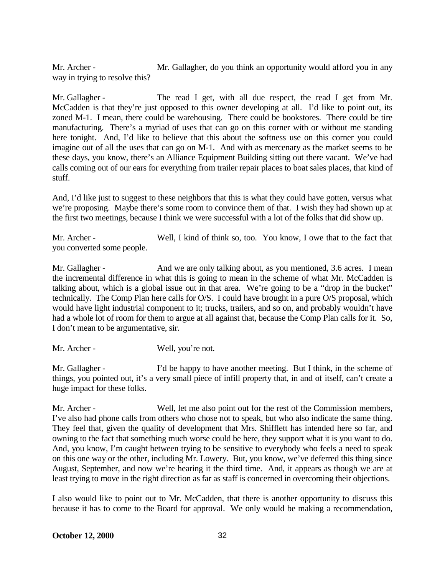Mr. Archer - Mr. Gallagher, do you think an opportunity would afford you in any way in trying to resolve this?

Mr. Gallagher - The read I get, with all due respect, the read I get from Mr. McCadden is that they're just opposed to this owner developing at all. I'd like to point out, its zoned M-1. I mean, there could be warehousing. There could be bookstores. There could be tire manufacturing. There's a myriad of uses that can go on this corner with or without me standing here tonight. And, I'd like to believe that this about the softness use on this corner you could imagine out of all the uses that can go on M-1. And with as mercenary as the market seems to be these days, you know, there's an Alliance Equipment Building sitting out there vacant. We've had calls coming out of our ears for everything from trailer repair places to boat sales places, that kind of stuff.

And, I'd like just to suggest to these neighbors that this is what they could have gotten, versus what we're proposing. Maybe there's some room to convince them of that. I wish they had shown up at the first two meetings, because I think we were successful with a lot of the folks that did show up.

Mr. Archer - Well, I kind of think so, too. You know, I owe that to the fact that you converted some people.

Mr. Gallagher - And we are only talking about, as you mentioned, 3.6 acres. I mean the incremental difference in what this is going to mean in the scheme of what Mr. McCadden is talking about, which is a global issue out in that area. We're going to be a "drop in the bucket" technically. The Comp Plan here calls for O/S. I could have brought in a pure O/S proposal, which would have light industrial component to it; trucks, trailers, and so on, and probably wouldn't have had a whole lot of room for them to argue at all against that, because the Comp Plan calls for it. So, I don't mean to be argumentative, sir.

Mr. Archer - Well, you're not.

Mr. Gallagher - I'd be happy to have another meeting. But I think, in the scheme of things, you pointed out, it's a very small piece of infill property that, in and of itself, can't create a huge impact for these folks.

Mr. Archer - Well, let me also point out for the rest of the Commission members, I've also had phone calls from others who chose not to speak, but who also indicate the same thing. They feel that, given the quality of development that Mrs. Shifflett has intended here so far, and owning to the fact that something much worse could be here, they support what it is you want to do. And, you know, I'm caught between trying to be sensitive to everybody who feels a need to speak on this one way or the other, including Mr. Lowery. But, you know, we've deferred this thing since August, September, and now we're hearing it the third time. And, it appears as though we are at least trying to move in the right direction as far as staff is concerned in overcoming their objections.

I also would like to point out to Mr. McCadden, that there is another opportunity to discuss this because it has to come to the Board for approval. We only would be making a recommendation,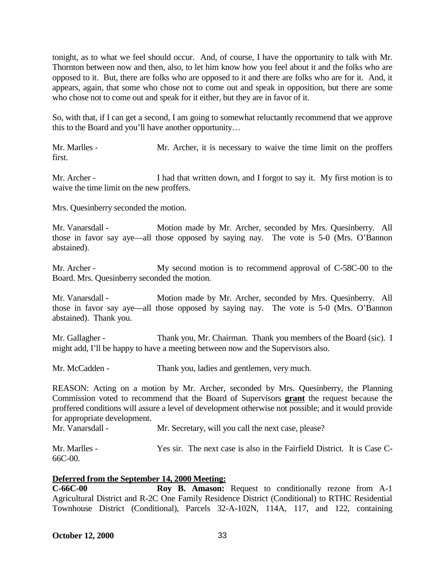tonight, as to what we feel should occur. And, of course, I have the opportunity to talk with Mr. Thornton between now and then, also, to let him know how you feel about it and the folks who are opposed to it. But, there are folks who are opposed to it and there are folks who are for it. And, it appears, again, that some who chose not to come out and speak in opposition, but there are some who chose not to come out and speak for it either, but they are in favor of it.

So, with that, if I can get a second, I am going to somewhat reluctantly recommend that we approve this to the Board and you'll have another opportunity…

Mr. Marlles - Mr. Archer, it is necessary to waive the time limit on the proffers first.

Mr. Archer - I had that written down, and I forgot to say it. My first motion is to waive the time limit on the new proffers.

Mrs. Quesinberry seconded the motion.

Mr. Vanarsdall - Motion made by Mr. Archer, seconded by Mrs. Quesinberry. All those in favor say aye—all those opposed by saying nay. The vote is 5-0 (Mrs. O'Bannon abstained).

Mr. Archer - My second motion is to recommend approval of C-58C-00 to the Board. Mrs. Quesinberry seconded the motion.

Mr. Vanarsdall - Motion made by Mr. Archer, seconded by Mrs. Quesinberry. All those in favor say aye—all those opposed by saying nay. The vote is 5-0 (Mrs. O'Bannon abstained). Thank you.

Mr. Gallagher - Thank you, Mr. Chairman. Thank you members of the Board (sic). I might add, I'll be happy to have a meeting between now and the Supervisors also.

Mr. McCadden - Thank you, ladies and gentlemen, very much.

REASON: Acting on a motion by Mr. Archer, seconded by Mrs. Quesinberry, the Planning Commission voted to recommend that the Board of Supervisors **grant** the request because the proffered conditions will assure a level of development otherwise not possible; and it would provide for appropriate development.

Mr. Vanarsdall - Mr. Secretary, will you call the next case, please?

Mr. Marlles - Yes sir. The next case is also in the Fairfield District. It is Case C-66C-00.

#### **Deferred from the September 14, 2000 Meeting:**

**C-66C-00 Roy B. Amason:** Request to conditionally rezone from A-1 Agricultural District and R-2C One Family Residence District (Conditional) to RTHC Residential Townhouse District (Conditional), Parcels 32-A-102N, 114A, 117, and 122, containing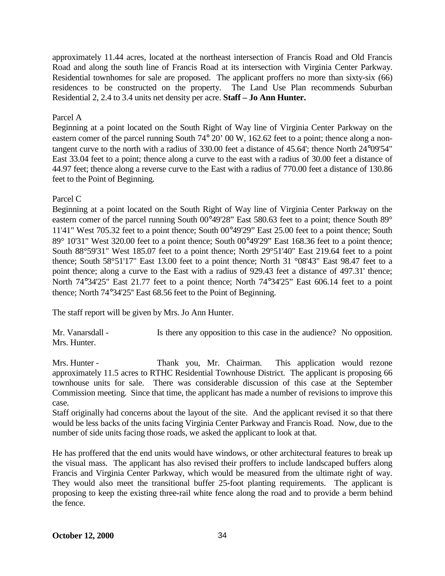approximately 11.44 acres, located at the northeast intersection of Francis Road and Old Francis Road and along the south line of Francis Road at its intersection with Virginia Center Parkway. Residential townhomes for sale are proposed. The applicant proffers no more than sixty-six (66) residences to be constructed on the property. The Land Use Plan recommends Suburban Residential 2, 2.4 to 3.4 units net density per acre. **Staff – Jo Ann Hunter.**

## Parcel A

Beginning at a point located on the South Right of Way line of Virginia Center Parkway on the eastern comer of the parcel running South 74° 20' 00 W, 162.62 feet to a point; thence along a nontangent curve to the north with a radius of 330.00 feet a distance of 45.64'; thence North 24°09'54" East 33.04 feet to a point; thence along a curve to the east with a radius of 30.00 feet a distance of 44.97 feet; thence along a reverse curve to the East with a radius of 770.00 feet a distance of 130.86 feet to the Point of Beginning.

### Parcel C

Beginning at a point located on the South Right of Way line of Virginia Center Parkway on the eastern comer of the parcel running South 00°49'28" East 580.63 feet to a point; thence South 89° 11'41" West 705.32 feet to a point thence; South 00°49'29" East 25.00 feet to a point thence; South 89° 10'31" West 320.00 feet to a point thence; South 00°49'29" East 168.36 feet to a point thence; South 88°59'31" West 185.07 feet to a point thence; North 29°51'40" East 219.64 feet to a point thence; South 58°51'17" East 13.00 feet to a point thence; North 31 °08'43" East 98.47 feet to a point thence; along a curve to the East with a radius of 929.43 feet a distance of 497.31' thence; North 74°34'25" East 21.77 feet to a point thence; North 74°34'25" East 606.14 feet to a point thence; North 74°34'25'' East 68.56 feet to the Point of Beginning.

The staff report will be given by Mrs. Jo Ann Hunter.

Mr. Vanarsdall - Is there any opposition to this case in the audience? No opposition. Mrs. Hunter.

Mrs. Hunter - Thank you, Mr. Chairman. This application would rezone approximately 11.5 acres to RTHC Residential Townhouse District. The applicant is proposing 66 townhouse units for sale. There was considerable discussion of this case at the September Commission meeting. Since that time, the applicant has made a number of revisions to improve this case.

Staff originally had concerns about the layout of the site. And the applicant revised it so that there would be less backs of the units facing Virginia Center Parkway and Francis Road. Now, due to the number of side units facing those roads, we asked the applicant to look at that.

He has proffered that the end units would have windows, or other architectural features to break up the visual mass. The applicant has also revised their proffers to include landscaped buffers along Francis and Virginia Center Parkway, which would be measured from the ultimate right of way. They would also meet the transitional buffer 25-foot planting requirements. The applicant is proposing to keep the existing three-rail white fence along the road and to provide a berm behind the fence.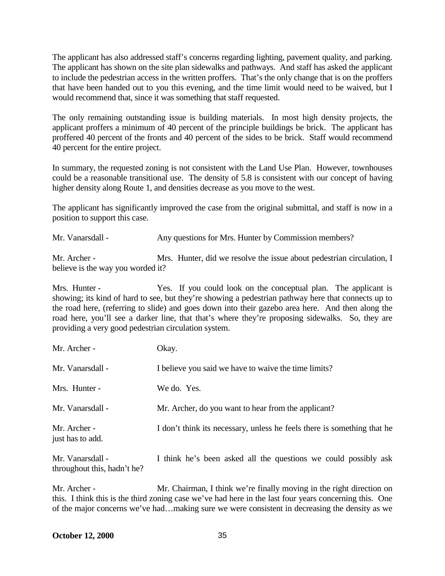The applicant has also addressed staff's concerns regarding lighting, pavement quality, and parking. The applicant has shown on the site plan sidewalks and pathways. And staff has asked the applicant to include the pedestrian access in the written proffers. That's the only change that is on the proffers that have been handed out to you this evening, and the time limit would need to be waived, but I would recommend that, since it was something that staff requested.

The only remaining outstanding issue is building materials. In most high density projects, the applicant proffers a minimum of 40 percent of the principle buildings be brick. The applicant has proffered 40 percent of the fronts and 40 percent of the sides to be brick. Staff would recommend 40 percent for the entire project.

In summary, the requested zoning is not consistent with the Land Use Plan. However, townhouses could be a reasonable transitional use. The density of 5.8 is consistent with our concept of having higher density along Route 1, and densities decrease as you move to the west.

The applicant has significantly improved the case from the original submittal, and staff is now in a position to support this case.

Mr. Vanarsdall - Any questions for Mrs. Hunter by Commission members?

Mr. Archer - Mrs. Hunter, did we resolve the issue about pedestrian circulation, I believe is the way you worded it?

Mrs. Hunter - Yes. If you could look on the conceptual plan. The applicant is showing; its kind of hard to see, but they're showing a pedestrian pathway here that connects up to the road here, (referring to slide) and goes down into their gazebo area here. And then along the road here, you'll see a darker line, that that's where they're proposing sidewalks. So, they are providing a very good pedestrian circulation system.

| Mr. Archer -                     | Okay.                                                                   |
|----------------------------------|-------------------------------------------------------------------------|
| Mr. Vanarsdall -                 | I believe you said we have to waive the time limits?                    |
| Mrs. Hunter -                    | We do. Yes.                                                             |
| Mr. Vanarsdall -                 | Mr. Archer, do you want to hear from the applicant?                     |
| Mr. Archer -<br>just has to add. | I don't think its necessary, unless he feels there is something that he |
| Mr. Vanarsdall -                 | I think he's been asked all the questions we could possibly ask         |

throughout this, hadn't he?

Mr. Archer - Mr. Chairman, I think we're finally moving in the right direction on this. I think this is the third zoning case we've had here in the last four years concerning this. One of the major concerns we've had…making sure we were consistent in decreasing the density as we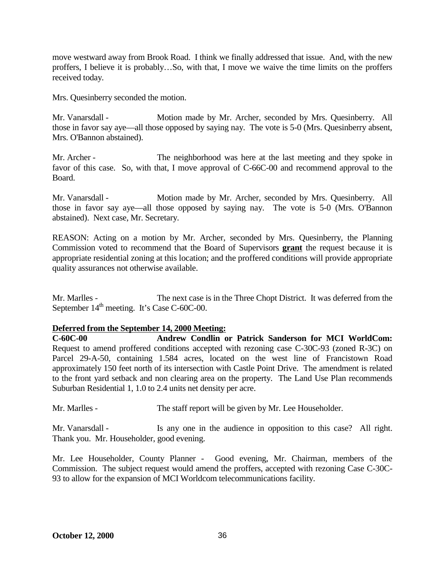move westward away from Brook Road. I think we finally addressed that issue. And, with the new proffers, I believe it is probably…So, with that, I move we waive the time limits on the proffers received today.

Mrs. Quesinberry seconded the motion.

Mr. Vanarsdall - Motion made by Mr. Archer, seconded by Mrs. Quesinberry. All those in favor say aye—all those opposed by saying nay. The vote is 5-0 (Mrs. Quesinberry absent, Mrs. O'Bannon abstained).

Mr. Archer - The neighborhood was here at the last meeting and they spoke in favor of this case. So, with that, I move approval of C-66C-00 and recommend approval to the Board.

Mr. Vanarsdall - Motion made by Mr. Archer, seconded by Mrs. Quesinberry. All those in favor say aye—all those opposed by saying nay. The vote is 5-0 (Mrs. O'Bannon abstained). Next case, Mr. Secretary.

REASON: Acting on a motion by Mr. Archer, seconded by Mrs. Quesinberry, the Planning Commission voted to recommend that the Board of Supervisors **grant** the request because it is appropriate residential zoning at this location; and the proffered conditions will provide appropriate quality assurances not otherwise available.

Mr. Marlles - The next case is in the Three Chopt District. It was deferred from the September  $14<sup>th</sup>$  meeting. It's Case C-60C-00.

# **Deferred from the September 14, 2000 Meeting:**

**C-60C-00 Andrew Condlin or Patrick Sanderson for MCI WorldCom:** Request to amend proffered conditions accepted with rezoning case C-30C-93 (zoned R-3C) on Parcel 29-A-50, containing 1.584 acres, located on the west line of Francistown Road approximately 150 feet north of its intersection with Castle Point Drive. The amendment is related to the front yard setback and non clearing area on the property. The Land Use Plan recommends Suburban Residential 1, 1.0 to 2.4 units net density per acre.

Mr. Marlles - The staff report will be given by Mr. Lee Householder.

Mr. Vanarsdall - Is any one in the audience in opposition to this case? All right. Thank you. Mr. Householder, good evening.

Mr. Lee Householder, County Planner - Good evening, Mr. Chairman, members of the Commission. The subject request would amend the proffers, accepted with rezoning Case C-30C-93 to allow for the expansion of MCI Worldcom telecommunications facility.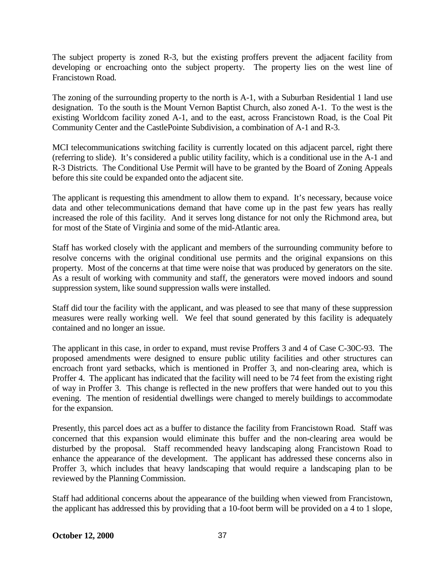The subject property is zoned R-3, but the existing proffers prevent the adjacent facility from developing or encroaching onto the subject property. The property lies on the west line of Francistown Road.

The zoning of the surrounding property to the north is A-1, with a Suburban Residential 1 land use designation. To the south is the Mount Vernon Baptist Church, also zoned A-1. To the west is the existing Worldcom facility zoned A-1, and to the east, across Francistown Road, is the Coal Pit Community Center and the CastlePointe Subdivision, a combination of A-1 and R-3.

MCI telecommunications switching facility is currently located on this adjacent parcel, right there (referring to slide). It's considered a public utility facility, which is a conditional use in the A-1 and R-3 Districts. The Conditional Use Permit will have to be granted by the Board of Zoning Appeals before this site could be expanded onto the adjacent site.

The applicant is requesting this amendment to allow them to expand. It's necessary, because voice data and other telecommunications demand that have come up in the past few years has really increased the role of this facility. And it serves long distance for not only the Richmond area, but for most of the State of Virginia and some of the mid-Atlantic area.

Staff has worked closely with the applicant and members of the surrounding community before to resolve concerns with the original conditional use permits and the original expansions on this property. Most of the concerns at that time were noise that was produced by generators on the site. As a result of working with community and staff, the generators were moved indoors and sound suppression system, like sound suppression walls were installed.

Staff did tour the facility with the applicant, and was pleased to see that many of these suppression measures were really working well. We feel that sound generated by this facility is adequately contained and no longer an issue.

The applicant in this case, in order to expand, must revise Proffers 3 and 4 of Case C-30C-93. The proposed amendments were designed to ensure public utility facilities and other structures can encroach front yard setbacks, which is mentioned in Proffer 3, and non-clearing area, which is Proffer 4. The applicant has indicated that the facility will need to be 74 feet from the existing right of way in Proffer 3. This change is reflected in the new proffers that were handed out to you this evening. The mention of residential dwellings were changed to merely buildings to accommodate for the expansion.

Presently, this parcel does act as a buffer to distance the facility from Francistown Road. Staff was concerned that this expansion would eliminate this buffer and the non-clearing area would be disturbed by the proposal. Staff recommended heavy landscaping along Francistown Road to enhance the appearance of the development. The applicant has addressed these concerns also in Proffer 3, which includes that heavy landscaping that would require a landscaping plan to be reviewed by the Planning Commission.

Staff had additional concerns about the appearance of the building when viewed from Francistown, the applicant has addressed this by providing that a 10-foot berm will be provided on a 4 to 1 slope,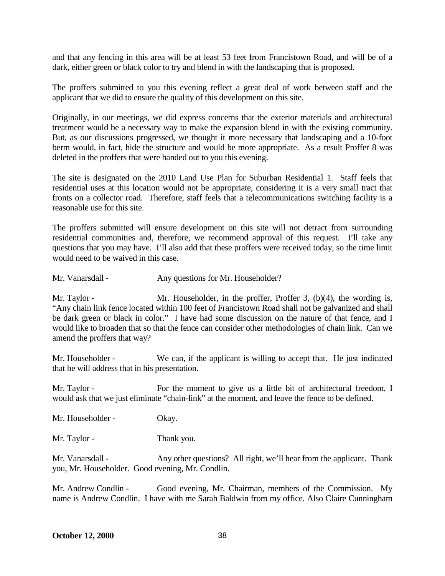and that any fencing in this area will be at least 53 feet from Francistown Road, and will be of a dark, either green or black color to try and blend in with the landscaping that is proposed.

The proffers submitted to you this evening reflect a great deal of work between staff and the applicant that we did to ensure the quality of this development on this site.

Originally, in our meetings, we did express concerns that the exterior materials and architectural treatment would be a necessary way to make the expansion blend in with the existing community. But, as our discussions progressed, we thought it more necessary that landscaping and a 10-foot berm would, in fact, hide the structure and would be more appropriate. As a result Proffer 8 was deleted in the proffers that were handed out to you this evening.

The site is designated on the 2010 Land Use Plan for Suburban Residential 1. Staff feels that residential uses at this location would not be appropriate, considering it is a very small tract that fronts on a collector road. Therefore, staff feels that a telecommunications switching facility is a reasonable use for this site.

The proffers submitted will ensure development on this site will not detract from surrounding residential communities and, therefore, we recommend approval of this request. I'll take any questions that you may have. I'll also add that these proffers were received today, so the time limit would need to be waived in this case.

Mr. Vanarsdall - Any questions for Mr. Householder?

Mr. Taylor - Mr. Householder, in the proffer, Proffer 3, (b)(4), the wording is, "Any chain link fence located within 100 feet of Francistown Road shall not be galvanized and shall be dark green or black in color." I have had some discussion on the nature of that fence, and I would like to broaden that so that the fence can consider other methodologies of chain link. Can we amend the proffers that way?

Mr. Householder - We can, if the applicant is willing to accept that. He just indicated that he will address that in his presentation.

Mr. Taylor - For the moment to give us a little bit of architectural freedom, I would ask that we just eliminate "chain-link" at the moment, and leave the fence to be defined.

Mr. Householder - Okay.

Mr. Taylor - Thank you.

Mr. Vanarsdall - Any other questions? All right, we'll hear from the applicant. Thank you, Mr. Householder. Good evening, Mr. Condlin.

Mr. Andrew Condlin - Good evening, Mr. Chairman, members of the Commission. My name is Andrew Condlin. I have with me Sarah Baldwin from my office. Also Claire Cunningham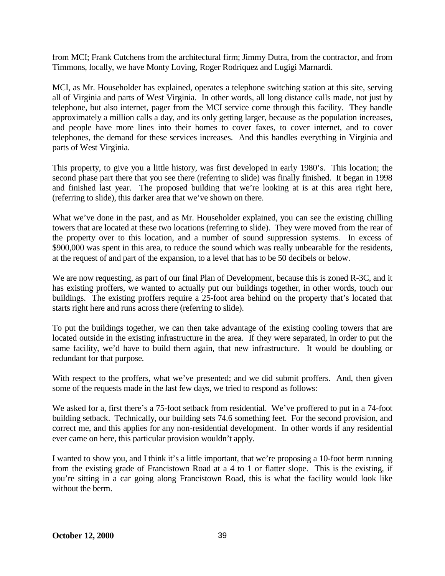from MCI; Frank Cutchens from the architectural firm; Jimmy Dutra, from the contractor, and from Timmons, locally, we have Monty Loving, Roger Rodriquez and Lugigi Marnardi.

MCI, as Mr. Householder has explained, operates a telephone switching station at this site, serving all of Virginia and parts of West Virginia. In other words, all long distance calls made, not just by telephone, but also internet, pager from the MCI service come through this facility. They handle approximately a million calls a day, and its only getting larger, because as the population increases, and people have more lines into their homes to cover faxes, to cover internet, and to cover telephones, the demand for these services increases. And this handles everything in Virginia and parts of West Virginia.

This property, to give you a little history, was first developed in early 1980's. This location; the second phase part there that you see there (referring to slide) was finally finished. It began in 1998 and finished last year. The proposed building that we're looking at is at this area right here, (referring to slide), this darker area that we've shown on there.

What we've done in the past, and as Mr. Householder explained, you can see the existing chilling towers that are located at these two locations (referring to slide). They were moved from the rear of the property over to this location, and a number of sound suppression systems. In excess of \$900,000 was spent in this area, to reduce the sound which was really unbearable for the residents, at the request of and part of the expansion, to a level that has to be 50 decibels or below.

We are now requesting, as part of our final Plan of Development, because this is zoned R-3C, and it has existing proffers, we wanted to actually put our buildings together, in other words, touch our buildings. The existing proffers require a 25-foot area behind on the property that's located that starts right here and runs across there (referring to slide).

To put the buildings together, we can then take advantage of the existing cooling towers that are located outside in the existing infrastructure in the area. If they were separated, in order to put the same facility, we'd have to build them again, that new infrastructure. It would be doubling or redundant for that purpose.

With respect to the proffers, what we've presented; and we did submit proffers. And, then given some of the requests made in the last few days, we tried to respond as follows:

We asked for a, first there's a 75-foot setback from residential. We've proffered to put in a 74-foot building setback. Technically, our building sets 74.6 something feet. For the second provision, and correct me, and this applies for any non-residential development. In other words if any residential ever came on here, this particular provision wouldn't apply.

I wanted to show you, and I think it's a little important, that we're proposing a 10-foot berm running from the existing grade of Francistown Road at a 4 to 1 or flatter slope. This is the existing, if you're sitting in a car going along Francistown Road, this is what the facility would look like without the berm.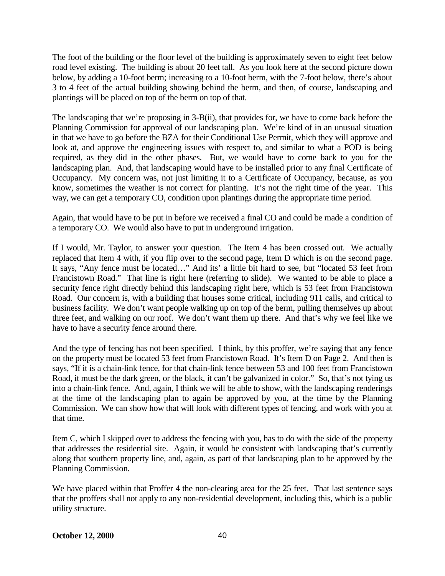The foot of the building or the floor level of the building is approximately seven to eight feet below road level existing. The building is about 20 feet tall. As you look here at the second picture down below, by adding a 10-foot berm; increasing to a 10-foot berm, with the 7-foot below, there's about 3 to 4 feet of the actual building showing behind the berm, and then, of course, landscaping and plantings will be placed on top of the berm on top of that.

The landscaping that we're proposing in 3-B(ii), that provides for, we have to come back before the Planning Commission for approval of our landscaping plan. We're kind of in an unusual situation in that we have to go before the BZA for their Conditional Use Permit, which they will approve and look at, and approve the engineering issues with respect to, and similar to what a POD is being required, as they did in the other phases. But, we would have to come back to you for the landscaping plan. And, that landscaping would have to be installed prior to any final Certificate of Occupancy. My concern was, not just limiting it to a Certificate of Occupancy, because, as you know, sometimes the weather is not correct for planting. It's not the right time of the year. This way, we can get a temporary CO, condition upon plantings during the appropriate time period.

Again, that would have to be put in before we received a final CO and could be made a condition of a temporary CO. We would also have to put in underground irrigation.

If I would, Mr. Taylor, to answer your question. The Item 4 has been crossed out. We actually replaced that Item 4 with, if you flip over to the second page, Item D which is on the second page. It says, "Any fence must be located…" And its' a little bit hard to see, but "located 53 feet from Francistown Road." That line is right here (referring to slide). We wanted to be able to place a security fence right directly behind this landscaping right here, which is 53 feet from Francistown Road. Our concern is, with a building that houses some critical, including 911 calls, and critical to business facility. We don't want people walking up on top of the berm, pulling themselves up about three feet, and walking on our roof. We don't want them up there. And that's why we feel like we have to have a security fence around there.

And the type of fencing has not been specified. I think, by this proffer, we're saying that any fence on the property must be located 53 feet from Francistown Road. It's Item D on Page 2. And then is says, "If it is a chain-link fence, for that chain-link fence between 53 and 100 feet from Francistown Road, it must be the dark green, or the black, it can't be galvanized in color." So, that's not tying us into a chain-link fence. And, again, I think we will be able to show, with the landscaping renderings at the time of the landscaping plan to again be approved by you, at the time by the Planning Commission. We can show how that will look with different types of fencing, and work with you at that time.

Item C, which I skipped over to address the fencing with you, has to do with the side of the property that addresses the residential site. Again, it would be consistent with landscaping that's currently along that southern property line, and, again, as part of that landscaping plan to be approved by the Planning Commission.

We have placed within that Proffer 4 the non-clearing area for the 25 feet. That last sentence says that the proffers shall not apply to any non-residential development, including this, which is a public utility structure.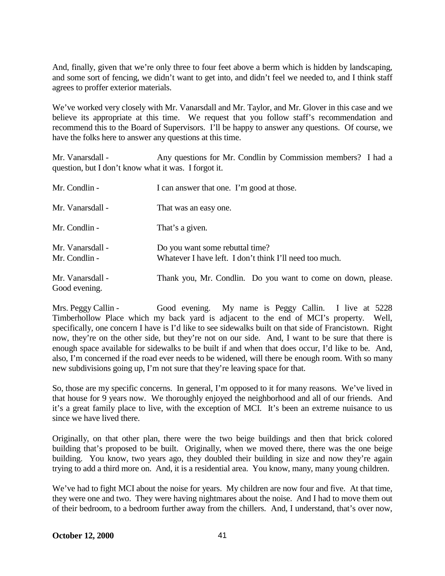And, finally, given that we're only three to four feet above a berm which is hidden by landscaping, and some sort of fencing, we didn't want to get into, and didn't feel we needed to, and I think staff agrees to proffer exterior materials.

We've worked very closely with Mr. Vanarsdall and Mr. Taylor, and Mr. Glover in this case and we believe its appropriate at this time. We request that you follow staff's recommendation and recommend this to the Board of Supervisors. I'll be happy to answer any questions. Of course, we have the folks here to answer any questions at this time.

Mr. Vanarsdall - Any questions for Mr. Condlin by Commission members? I had a question, but I don't know what it was. I forgot it.

| Mr. Condlin -                     | I can answer that one. I'm good at those.                                                  |
|-----------------------------------|--------------------------------------------------------------------------------------------|
| Mr. Vanarsdall -                  | That was an easy one.                                                                      |
| Mr. Condlin -                     | That's a given.                                                                            |
| Mr. Vanarsdall -<br>Mr. Condlin - | Do you want some rebuttal time?<br>Whatever I have left. I don't think I'll need too much. |
| Mr. Vanarsdall -<br>Good evening. | Thank you, Mr. Condlin. Do you want to come on down, please.                               |

Mrs. Peggy Callin - Good evening. My name is Peggy Callin. I live at 5228 Timberhollow Place which my back yard is adjacent to the end of MCI's property. Well, specifically, one concern I have is I'd like to see sidewalks built on that side of Francistown. Right now, they're on the other side, but they're not on our side. And, I want to be sure that there is enough space available for sidewalks to be built if and when that does occur, I'd like to be. And, also, I'm concerned if the road ever needs to be widened, will there be enough room. With so many new subdivisions going up, I'm not sure that they're leaving space for that.

So, those are my specific concerns. In general, I'm opposed to it for many reasons. We've lived in that house for 9 years now. We thoroughly enjoyed the neighborhood and all of our friends. And it's a great family place to live, with the exception of MCI. It's been an extreme nuisance to us since we have lived there.

Originally, on that other plan, there were the two beige buildings and then that brick colored building that's proposed to be built. Originally, when we moved there, there was the one beige building. You know, two years ago, they doubled their building in size and now they're again trying to add a third more on. And, it is a residential area. You know, many, many young children.

We've had to fight MCI about the noise for years. My children are now four and five. At that time, they were one and two. They were having nightmares about the noise. And I had to move them out of their bedroom, to a bedroom further away from the chillers. And, I understand, that's over now,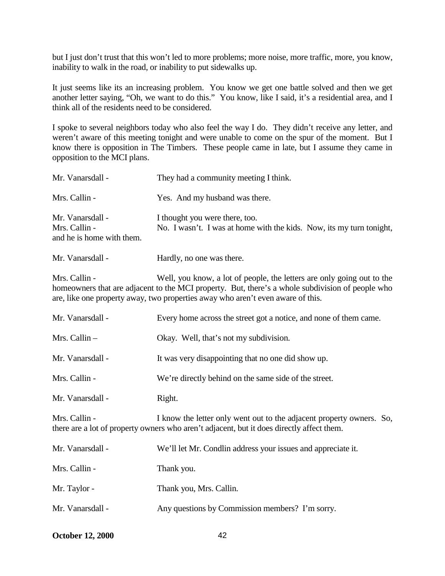but I just don't trust that this won't led to more problems; more noise, more traffic, more, you know, inability to walk in the road, or inability to put sidewalks up.

It just seems like its an increasing problem. You know we get one battle solved and then we get another letter saying, "Oh, we want to do this." You know, like I said, it's a residential area, and I think all of the residents need to be considered.

I spoke to several neighbors today who also feel the way I do. They didn't receive any letter, and weren't aware of this meeting tonight and were unable to come on the spur of the moment. But I know there is opposition in The Timbers. These people came in late, but I assume they came in opposition to the MCI plans.

| Mr. Vanarsdall -                                               | They had a community meeting I think.                                                                                                                                                                                                                         |
|----------------------------------------------------------------|---------------------------------------------------------------------------------------------------------------------------------------------------------------------------------------------------------------------------------------------------------------|
| Mrs. Callin -                                                  | Yes. And my husband was there.                                                                                                                                                                                                                                |
| Mr. Vanarsdall -<br>Mrs. Callin -<br>and he is home with them. | I thought you were there, too.<br>No. I wasn't. I was at home with the kids. Now, its my turn tonight,                                                                                                                                                        |
| Mr. Vanarsdall -                                               | Hardly, no one was there.                                                                                                                                                                                                                                     |
| Mrs. Callin -                                                  | Well, you know, a lot of people, the letters are only going out to the<br>homeowners that are adjacent to the MCI property. But, there's a whole subdivision of people who<br>are, like one property away, two properties away who aren't even aware of this. |
| Mr. Vanarsdall -                                               | Every home across the street got a notice, and none of them came.                                                                                                                                                                                             |
| Mrs. Callin-                                                   | Okay. Well, that's not my subdivision.                                                                                                                                                                                                                        |
| Mr. Vanarsdall -                                               | It was very disappointing that no one did show up.                                                                                                                                                                                                            |
| Mrs. Callin -                                                  | We're directly behind on the same side of the street.                                                                                                                                                                                                         |
| Mr. Vanarsdall -                                               | Right.                                                                                                                                                                                                                                                        |
| Mrs. Callin -                                                  | I know the letter only went out to the adjacent property owners. So,<br>there are a lot of property owners who aren't adjacent, but it does directly affect them.                                                                                             |
| Mr. Vanarsdall -                                               | We'll let Mr. Condlin address your issues and appreciate it.                                                                                                                                                                                                  |
| Mrs. Callin -                                                  | Thank you.                                                                                                                                                                                                                                                    |
| Mr. Taylor -                                                   | Thank you, Mrs. Callin.                                                                                                                                                                                                                                       |
| Mr. Vanarsdall -                                               | Any questions by Commission members? I'm sorry.                                                                                                                                                                                                               |

**October 12, 2000** 42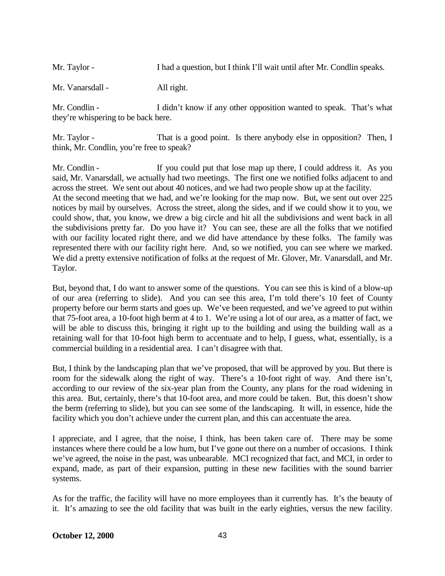Mr. Taylor - I had a question, but I think I'll wait until after Mr. Condlin speaks.

Mr. Vanarsdall - All right.

Mr. Condlin - I didn't know if any other opposition wanted to speak. That's what they're whispering to be back here.

Mr. Taylor - That is a good point. Is there anybody else in opposition? Then, I think, Mr. Condlin, you're free to speak?

Mr. Condlin - If you could put that lose map up there, I could address it. As you said, Mr. Vanarsdall, we actually had two meetings. The first one we notified folks adjacent to and across the street. We sent out about 40 notices, and we had two people show up at the facility. At the second meeting that we had, and we're looking for the map now. But, we sent out over 225 notices by mail by ourselves. Across the street, along the sides, and if we could show it to you, we could show, that, you know, we drew a big circle and hit all the subdivisions and went back in all the subdivisions pretty far. Do you have it? You can see, these are all the folks that we notified with our facility located right there, and we did have attendance by these folks. The family was represented there with our facility right here. And, so we notified, you can see where we marked. We did a pretty extensive notification of folks at the request of Mr. Glover, Mr. Vanarsdall, and Mr. Taylor.

But, beyond that, I do want to answer some of the questions. You can see this is kind of a blow-up of our area (referring to slide). And you can see this area, I'm told there's 10 feet of County property before our berm starts and goes up. We've been requested, and we've agreed to put within that 75-foot area, a 10-foot high berm at 4 to 1. We're using a lot of our area, as a matter of fact, we will be able to discuss this, bringing it right up to the building and using the building wall as a retaining wall for that 10-foot high berm to accentuate and to help, I guess, what, essentially, is a commercial building in a residential area. I can't disagree with that.

But, I think by the landscaping plan that we've proposed, that will be approved by you. But there is room for the sidewalk along the right of way. There's a 10-foot right of way. And there isn't, according to our review of the six-year plan from the County, any plans for the road widening in this area. But, certainly, there's that 10-foot area, and more could be taken. But, this doesn't show the berm (referring to slide), but you can see some of the landscaping. It will, in essence, hide the facility which you don't achieve under the current plan, and this can accentuate the area.

I appreciate, and I agree, that the noise, I think, has been taken care of. There may be some instances where there could be a low hum, but I've gone out there on a number of occasions. I think we've agreed, the noise in the past, was unbearable. MCI recognized that fact, and MCI, in order to expand, made, as part of their expansion, putting in these new facilities with the sound barrier systems.

As for the traffic, the facility will have no more employees than it currently has. It's the beauty of it. It's amazing to see the old facility that was built in the early eighties, versus the new facility.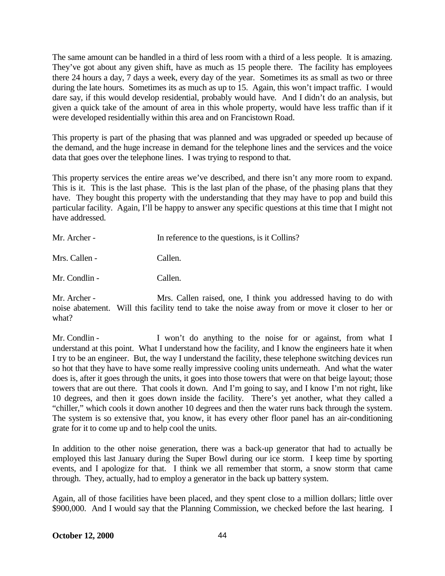The same amount can be handled in a third of less room with a third of a less people. It is amazing. They've got about any given shift, have as much as 15 people there. The facility has employees there 24 hours a day, 7 days a week, every day of the year. Sometimes its as small as two or three during the late hours. Sometimes its as much as up to 15. Again, this won't impact traffic. I would dare say, if this would develop residential, probably would have. And I didn't do an analysis, but given a quick take of the amount of area in this whole property, would have less traffic than if it were developed residentially within this area and on Francistown Road.

This property is part of the phasing that was planned and was upgraded or speeded up because of the demand, and the huge increase in demand for the telephone lines and the services and the voice data that goes over the telephone lines. I was trying to respond to that.

This property services the entire areas we've described, and there isn't any more room to expand. This is it. This is the last phase. This is the last plan of the phase, of the phasing plans that they have. They bought this property with the understanding that they may have to pop and build this particular facility. Again, I'll be happy to answer any specific questions at this time that I might not have addressed.

| In reference to the questions, is it Collins? |
|-----------------------------------------------|
| Callen.                                       |
| Callen.                                       |
|                                               |

Mr. Archer - Mrs. Callen raised, one, I think you addressed having to do with noise abatement. Will this facility tend to take the noise away from or move it closer to her or what?

Mr. Condlin - I won't do anything to the noise for or against, from what I understand at this point. What I understand how the facility, and I know the engineers hate it when I try to be an engineer. But, the way I understand the facility, these telephone switching devices run so hot that they have to have some really impressive cooling units underneath. And what the water does is, after it goes through the units, it goes into those towers that were on that beige layout; those towers that are out there. That cools it down. And I'm going to say, and I know I'm not right, like 10 degrees, and then it goes down inside the facility. There's yet another, what they called a "chiller," which cools it down another 10 degrees and then the water runs back through the system. The system is so extensive that, you know, it has every other floor panel has an air-conditioning grate for it to come up and to help cool the units.

In addition to the other noise generation, there was a back-up generator that had to actually be employed this last January during the Super Bowl during our ice storm. I keep time by sporting events, and I apologize for that. I think we all remember that storm, a snow storm that came through. They, actually, had to employ a generator in the back up battery system.

Again, all of those facilities have been placed, and they spent close to a million dollars; little over \$900,000. And I would say that the Planning Commission, we checked before the last hearing. I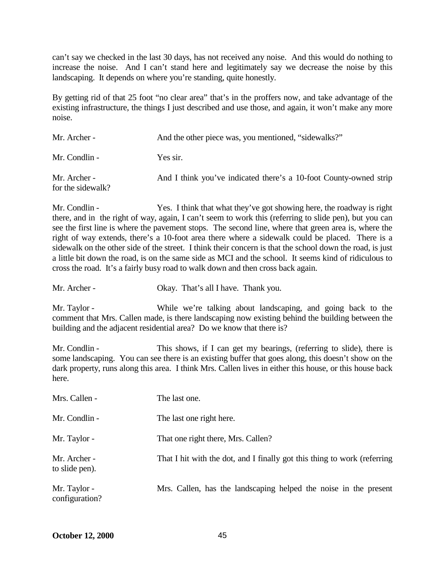can't say we checked in the last 30 days, has not received any noise. And this would do nothing to increase the noise. And I can't stand here and legitimately say we decrease the noise by this landscaping. It depends on where you're standing, quite honestly.

By getting rid of that 25 foot "no clear area" that's in the proffers now, and take advantage of the existing infrastructure, the things I just described and use those, and again, it won't make any more noise.

| Mr. Archer -                      | And the other piece was, you mentioned, "sidewalks?"              |
|-----------------------------------|-------------------------------------------------------------------|
| Mr. Condlin -                     | Yes sir.                                                          |
| Mr. Archer -<br>for the sidewalk? | And I think you've indicated there's a 10-foot County-owned strip |

Mr. Condlin - Yes. I think that what they've got showing here, the roadway is right there, and in the right of way, again, I can't seem to work this (referring to slide pen), but you can see the first line is where the pavement stops. The second line, where that green area is, where the right of way extends, there's a 10-foot area there where a sidewalk could be placed. There is a sidewalk on the other side of the street. I think their concern is that the school down the road, is just a little bit down the road, is on the same side as MCI and the school. It seems kind of ridiculous to cross the road. It's a fairly busy road to walk down and then cross back again.

Mr. Archer - Okay. That's all I have. Thank you.

Mr. Taylor - While we're talking about landscaping, and going back to the comment that Mrs. Callen made, is there landscaping now existing behind the building between the building and the adjacent residential area? Do we know that there is?

Mr. Condlin - This shows, if I can get my bearings, (referring to slide), there is some landscaping. You can see there is an existing buffer that goes along, this doesn't show on the dark property, runs along this area. I think Mrs. Callen lives in either this house, or this house back here.

| Mrs. Callen -                  | The last one.                                                            |
|--------------------------------|--------------------------------------------------------------------------|
| Mr. Condlin -                  | The last one right here.                                                 |
| Mr. Taylor -                   | That one right there, Mrs. Callen?                                       |
| Mr. Archer -<br>to slide pen). | That I hit with the dot, and I finally got this thing to work (referring |
| Mr. Taylor -<br>configuration? | Mrs. Callen, has the landscaping helped the noise in the present         |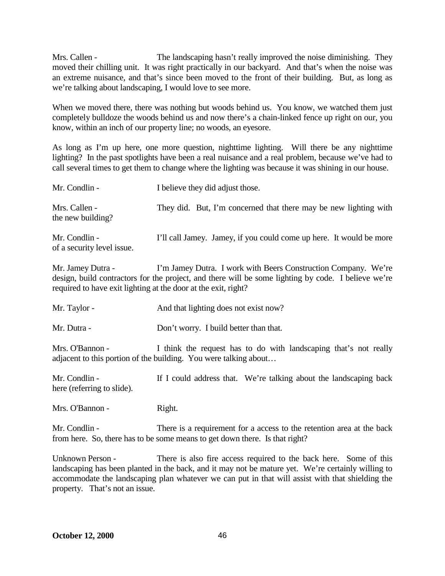Mrs. Callen - The landscaping hasn't really improved the noise diminishing. They moved their chilling unit. It was right practically in our backyard. And that's when the noise was an extreme nuisance, and that's since been moved to the front of their building. But, as long as we're talking about landscaping, I would love to see more.

When we moved there, there was nothing but woods behind us. You know, we watched them just completely bulldoze the woods behind us and now there's a chain-linked fence up right on our, you know, within an inch of our property line; no woods, an eyesore.

As long as I'm up here, one more question, nighttime lighting. Will there be any nighttime lighting? In the past spotlights have been a real nuisance and a real problem, because we've had to call several times to get them to change where the lighting was because it was shining in our house.

| Mr. Condlin -                               | I believe they did adjust those.                                    |
|---------------------------------------------|---------------------------------------------------------------------|
| Mrs. Callen -<br>the new building?          | They did. But, I'm concerned that there may be new lighting with    |
| Mr. Condlin -<br>of a security level issue. | I'll call Jamey. Jamey, if you could come up here. It would be more |

Mr. Jamey Dutra - I'm Jamey Dutra. I work with Beers Construction Company. We're design, build contractors for the project, and there will be some lighting by code. I believe we're required to have exit lighting at the door at the exit, right?

| Mr. Taylor - | And that lighting does not exist now? |
|--------------|---------------------------------------|
|--------------|---------------------------------------|

Mr. Dutra - Don't worry. I build better than that.

Mrs. O'Bannon - I think the request has to do with landscaping that's not really adjacent to this portion of the building. You were talking about…

Mr. Condlin - If I could address that. We're talking about the landscaping back here (referring to slide).

Mrs. O'Bannon - Right.

Mr. Condlin - There is a requirement for a access to the retention area at the back from here. So, there has to be some means to get down there. Is that right?

Unknown Person - There is also fire access required to the back here. Some of this landscaping has been planted in the back, and it may not be mature yet. We're certainly willing to accommodate the landscaping plan whatever we can put in that will assist with that shielding the property. That's not an issue.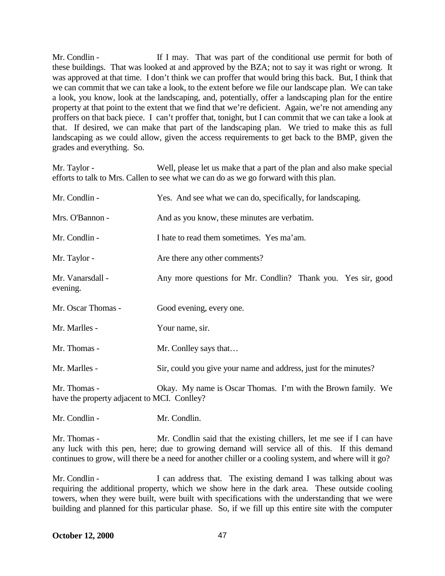Mr. Condlin - If I may. That was part of the conditional use permit for both of these buildings. That was looked at and approved by the BZA; not to say it was right or wrong. It was approved at that time. I don't think we can proffer that would bring this back. But, I think that we can commit that we can take a look, to the extent before we file our landscape plan. We can take a look, you know, look at the landscaping, and, potentially, offer a landscaping plan for the entire property at that point to the extent that we find that we're deficient. Again, we're not amending any proffers on that back piece. I can't proffer that, tonight, but I can commit that we can take a look at that. If desired, we can make that part of the landscaping plan. We tried to make this as full landscaping as we could allow, given the access requirements to get back to the BMP, given the grades and everything. So.

Mr. Taylor - Well, please let us make that a part of the plan and also make special efforts to talk to Mrs. Callen to see what we can do as we go forward with this plan.

| Mr. Condlin -                                               | Yes. And see what we can do, specifically, for landscaping.      |
|-------------------------------------------------------------|------------------------------------------------------------------|
| Mrs. O'Bannon -                                             | And as you know, these minutes are verbatim.                     |
| Mr. Condlin -                                               | I hate to read them sometimes. Yes ma'am.                        |
| Mr. Taylor -                                                | Are there any other comments?                                    |
| Mr. Vanarsdall -<br>evening.                                | Any more questions for Mr. Condlin? Thank you. Yes sir, good     |
| Mr. Oscar Thomas -                                          | Good evening, every one.                                         |
| Mr. Marlles -                                               | Your name, sir.                                                  |
| Mr. Thomas -                                                | Mr. Conlley says that                                            |
| Mr. Marlles -                                               | Sir, could you give your name and address, just for the minutes? |
| Mr. Thomas -<br>have the property adjacent to MCI. Conlley? | Okay. My name is Oscar Thomas. I'm with the Brown family. We     |
| Mr. Condlin -                                               | Mr. Condlin.                                                     |

Mr. Thomas - Mr. Condlin said that the existing chillers, let me see if I can have any luck with this pen, here; due to growing demand will service all of this. If this demand continues to grow, will there be a need for another chiller or a cooling system, and where will it go?

Mr. Condlin - I can address that. The existing demand I was talking about was requiring the additional property, which we show here in the dark area. These outside cooling towers, when they were built, were built with specifications with the understanding that we were building and planned for this particular phase. So, if we fill up this entire site with the computer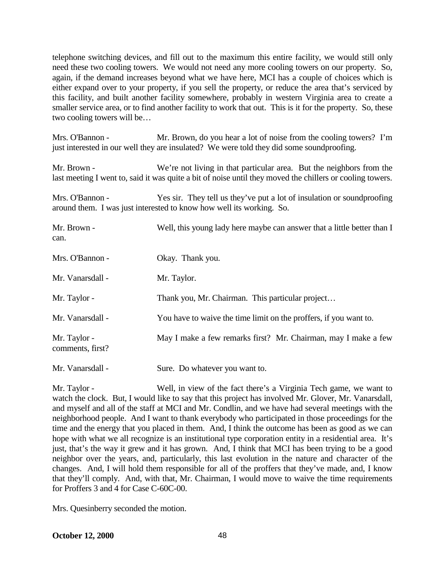telephone switching devices, and fill out to the maximum this entire facility, we would still only need these two cooling towers. We would not need any more cooling towers on our property. So, again, if the demand increases beyond what we have here, MCI has a couple of choices which is either expand over to your property, if you sell the property, or reduce the area that's serviced by this facility, and built another facility somewhere, probably in western Virginia area to create a smaller service area, or to find another facility to work that out. This is it for the property. So, these two cooling towers will be…

Mrs. O'Bannon - Mr. Brown, do you hear a lot of noise from the cooling towers? I'm just interested in our well they are insulated? We were told they did some soundproofing.

Mr. Brown - We're not living in that particular area. But the neighbors from the last meeting I went to, said it was quite a bit of noise until they moved the chillers or cooling towers.

Mrs. O'Bannon - Yes sir. They tell us they've put a lot of insulation or soundproofing around them. I was just interested to know how well its working. So.

| Mr. Brown -<br>can.              | Well, this young lady here maybe can answer that a little better than I |
|----------------------------------|-------------------------------------------------------------------------|
| Mrs. O'Bannon -                  | Okay. Thank you.                                                        |
| Mr. Vanarsdall -                 | Mr. Taylor.                                                             |
| Mr. Taylor -                     | Thank you, Mr. Chairman. This particular project                        |
| Mr. Vanarsdall -                 | You have to waive the time limit on the proffers, if you want to.       |
| Mr. Taylor -<br>comments, first? | May I make a few remarks first? Mr. Chairman, may I make a few          |
| Mr. Vanarsdall -                 | Sure. Do whatever you want to.                                          |

Mr. Taylor - Well, in view of the fact there's a Virginia Tech game, we want to watch the clock. But, I would like to say that this project has involved Mr. Glover, Mr. Vanarsdall, and myself and all of the staff at MCI and Mr. Condlin, and we have had several meetings with the neighborhood people. And I want to thank everybody who participated in those proceedings for the time and the energy that you placed in them. And, I think the outcome has been as good as we can hope with what we all recognize is an institutional type corporation entity in a residential area. It's just, that's the way it grew and it has grown. And, I think that MCI has been trying to be a good neighbor over the years, and, particularly, this last evolution in the nature and character of the changes. And, I will hold them responsible for all of the proffers that they've made, and, I know that they'll comply. And, with that, Mr. Chairman, I would move to waive the time requirements for Proffers 3 and 4 for Case C-60C-00.

Mrs. Quesinberry seconded the motion.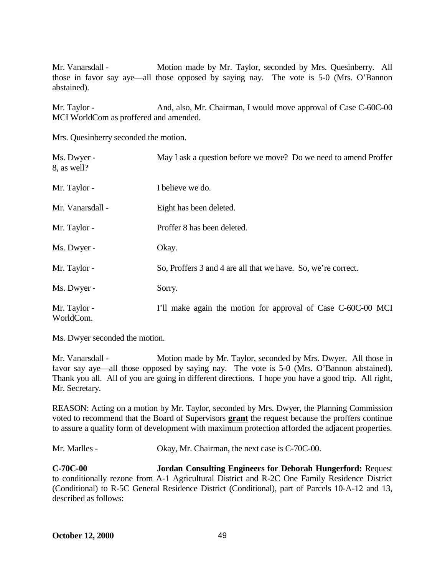Mr. Vanarsdall - Motion made by Mr. Taylor, seconded by Mrs. Quesinberry. All those in favor say aye—all those opposed by saying nay. The vote is 5-0 (Mrs. O'Bannon abstained).

Mr. Taylor - And, also, Mr. Chairman, I would move approval of Case C-60C-00 MCI WorldCom as proffered and amended.

Mrs. Quesinberry seconded the motion.

| Ms. Dwyer -<br>8, as well? | May I ask a question before we move? Do we need to amend Proffer |
|----------------------------|------------------------------------------------------------------|
| Mr. Taylor -               | I believe we do.                                                 |
| Mr. Vanarsdall -           | Eight has been deleted.                                          |
| Mr. Taylor -               | Proffer 8 has been deleted.                                      |
| Ms. Dwyer -                | Okay.                                                            |
| Mr. Taylor -               | So, Proffers 3 and 4 are all that we have. So, we're correct.    |
| Ms. Dwyer -                | Sorry.                                                           |
| Mr. Taylor -<br>WorldCom.  | I'll make again the motion for approval of Case C-60C-00 MCI     |

Ms. Dwyer seconded the motion.

Mr. Vanarsdall - Motion made by Mr. Taylor, seconded by Mrs. Dwyer. All those in favor say aye—all those opposed by saying nay. The vote is 5-0 (Mrs. O'Bannon abstained). Thank you all. All of you are going in different directions. I hope you have a good trip. All right, Mr. Secretary.

REASON: Acting on a motion by Mr. Taylor, seconded by Mrs. Dwyer, the Planning Commission voted to recommend that the Board of Supervisors **grant** the request because the proffers continue to assure a quality form of development with maximum protection afforded the adjacent properties.

Mr. Marlles - Okay, Mr. Chairman, the next case is C-70C-00.

**C-70C-00 Jordan Consulting Engineers for Deborah Hungerford:** Request to conditionally rezone from A-1 Agricultural District and R-2C One Family Residence District (Conditional) to R-5C General Residence District (Conditional), part of Parcels 10-A-12 and 13, described as follows: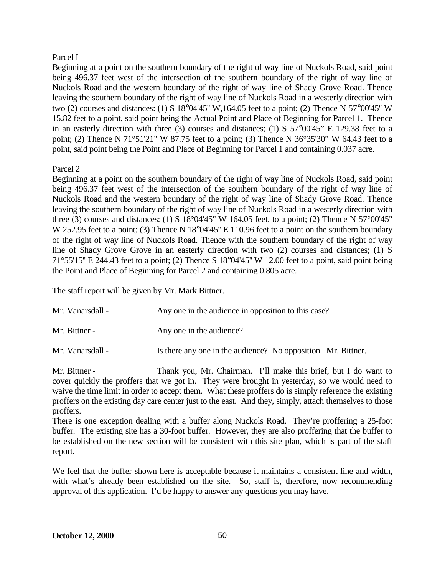### Parcel I

Beginning at a point on the southern boundary of the right of way line of Nuckols Road, said point being 496.37 feet west of the intersection of the southern boundary of the right of way line of Nuckols Road and the western boundary of the right of way line of Shady Grove Road. Thence leaving the southern boundary of the right of way line of Nuckols Road in a westerly direction with two (2) courses and distances: (1) S 18°04'45'' W,164.05 feet to a point; (2) Thence N 57°00'45'' W 15.82 feet to a point, said point being the Actual Point and Place of Beginning for Parcel 1. Thence in an easterly direction with three (3) courses and distances; (1) S 57°00'45" E 129.38 feet to a point; (2) Thence N 71°51'21" W 87.75 feet to a point; (3) Thence N 36°35'30" W 64.43 feet to a point, said point being the Point and Place of Beginning for Parcel 1 and containing 0.037 acre.

# Parcel 2

Beginning at a point on the southern boundary of the right of way line of Nuckols Road, said point being 496.37 feet west of the intersection of the southern boundary of the right of way line of Nuckols Road and the western boundary of the right of way line of Shady Grove Road. Thence leaving the southern boundary of the right of way line of Nuckols Road in a westerly direction with three (3) courses and distances: (1) S  $18^{\circ}04'45''$  W  $164.05$  feet. to a point; (2) Thence N  $57^{\circ}00'45''$ W 252.95 feet to a point; (3) Thence N 18°04'45" E 110.96 feet to a point on the southern boundary of the right of way line of Nuckols Road. Thence with the southern boundary of the right of way line of Shady Grove Grove in an easterly direction with two (2) courses and distances; (1) S 71°55'15'' E 244.43 feet to a point; (2) Thence S 18°04'45'' W 12.00 feet to a point, said point being the Point and Place of Beginning for Parcel 2 and containing 0.805 acre.

The staff report will be given by Mr. Mark Bittner.

| Mr. Vanarsdall - | Any one in the audience in opposition to this case?           |
|------------------|---------------------------------------------------------------|
| Mr. Bittner -    | Any one in the audience?                                      |
| Mr. Vanarsdall - | Is there any one in the audience? No opposition. Mr. Bittner. |

Mr. Bittner - Thank you, Mr. Chairman. I'll make this brief, but I do want to cover quickly the proffers that we got in. They were brought in yesterday, so we would need to waive the time limit in order to accept them. What these proffers do is simply reference the existing proffers on the existing day care center just to the east. And they, simply, attach themselves to those proffers.

There is one exception dealing with a buffer along Nuckols Road. They're proffering a 25-foot buffer. The existing site has a 30-foot buffer. However, they are also proffering that the buffer to be established on the new section will be consistent with this site plan, which is part of the staff report.

We feel that the buffer shown here is acceptable because it maintains a consistent line and width, with what's already been established on the site. So, staff is, therefore, now recommending approval of this application. I'd be happy to answer any questions you may have.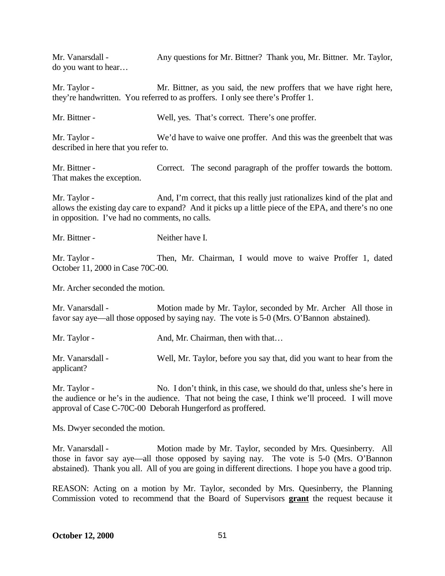Mr. Vanarsdall - Any questions for Mr. Bittner? Thank you, Mr. Bittner. Mr. Taylor, do you want to hear…

Mr. Taylor - Mr. Bittner, as you said, the new proffers that we have right here, they're handwritten. You referred to as proffers. I only see there's Proffer 1.

Mr. Bittner - Well, yes. That's correct. There's one proffer.

Mr. Taylor - We'd have to waive one proffer. And this was the greenbelt that was described in here that you refer to.

Mr. Bittner - Correct. The second paragraph of the proffer towards the bottom. That makes the exception.

Mr. Taylor - And, I'm correct, that this really just rationalizes kind of the plat and allows the existing day care to expand? And it picks up a little piece of the EPA, and there's no one in opposition. I've had no comments, no calls.

Mr. Bittner - Neither have I.

Mr. Taylor - Then, Mr. Chairman, I would move to waive Proffer 1, dated October 11, 2000 in Case 70C-00.

Mr. Archer seconded the motion.

Mr. Vanarsdall - Motion made by Mr. Taylor, seconded by Mr. Archer All those in favor say aye—all those opposed by saying nay. The vote is 5-0 (Mrs. O'Bannon abstained).

Mr. Taylor - And, Mr. Chairman, then with that...

Mr. Vanarsdall - Well, Mr. Taylor, before you say that, did you want to hear from the applicant?

Mr. Taylor - No. I don't think, in this case, we should do that, unless she's here in the audience or he's in the audience. That not being the case, I think we'll proceed. I will move approval of Case C-70C-00 Deborah Hungerford as proffered.

Ms. Dwyer seconded the motion.

Mr. Vanarsdall - Motion made by Mr. Taylor, seconded by Mrs. Quesinberry. All those in favor say aye—all those opposed by saying nay. The vote is 5-0 (Mrs. O'Bannon abstained). Thank you all. All of you are going in different directions. I hope you have a good trip.

REASON: Acting on a motion by Mr. Taylor, seconded by Mrs. Quesinberry, the Planning Commission voted to recommend that the Board of Supervisors **grant** the request because it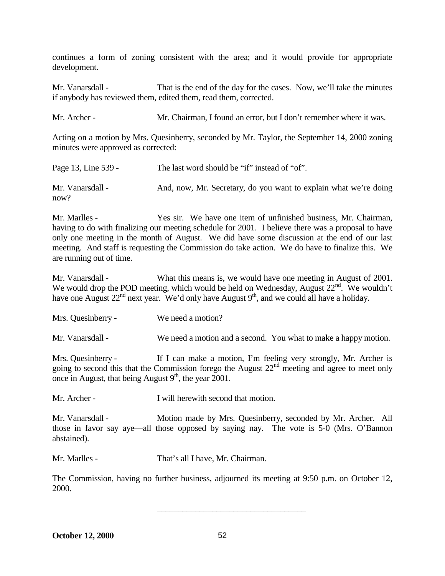continues a form of zoning consistent with the area; and it would provide for appropriate development.

Mr. Vanarsdall - That is the end of the day for the cases. Now, we'll take the minutes if anybody has reviewed them, edited them, read them, corrected.

Mr. Archer - Mr. Chairman, I found an error, but I don't remember where it was.

Acting on a motion by Mrs. Quesinberry, seconded by Mr. Taylor, the September 14, 2000 zoning minutes were approved as corrected:

| Page 13, Line 539 -      | The last word should be "if" instead of "of".                    |
|--------------------------|------------------------------------------------------------------|
| Mr. Vanarsdall -<br>now? | And, now, Mr. Secretary, do you want to explain what we're doing |

Mr. Marlles - Yes sir. We have one item of unfinished business, Mr. Chairman, having to do with finalizing our meeting schedule for 2001. I believe there was a proposal to have only one meeting in the month of August. We did have some discussion at the end of our last meeting. And staff is requesting the Commission do take action. We do have to finalize this. We are running out of time.

Mr. Vanarsdall - What this means is, we would have one meeting in August of 2001. We would drop the POD meeting, which would be held on Wednesday, August  $22<sup>nd</sup>$ . We wouldn't have one August  $22<sup>nd</sup>$  next year. We'd only have August  $9<sup>th</sup>$ , and we could all have a holiday.

Mrs. Quesinberry - We need a motion?

Mr. Vanarsdall - We need a motion and a second. You what to make a happy motion.

Mrs. Quesinberry - If I can make a motion, I'm feeling very strongly, Mr. Archer is going to second this that the Commission forego the August  $22<sup>nd</sup>$  meeting and agree to meet only once in August, that being August  $9<sup>th</sup>$ , the year 2001.

Mr. Archer - I will herewith second that motion.

Mr. Vanarsdall - Motion made by Mrs. Quesinberry, seconded by Mr. Archer. All those in favor say aye—all those opposed by saying nay. The vote is 5-0 (Mrs. O'Bannon abstained).

Mr. Marlles - That's all I have, Mr. Chairman.

The Commission, having no further business, adjourned its meeting at 9:50 p.m. on October 12, 2000.

\_\_\_\_\_\_\_\_\_\_\_\_\_\_\_\_\_\_\_\_\_\_\_\_\_\_\_\_\_\_\_\_\_\_\_